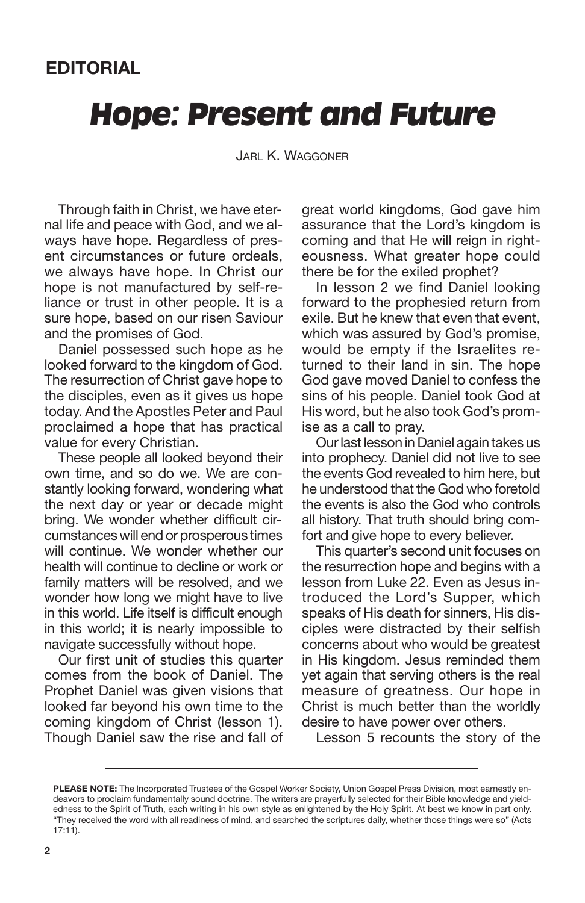## *Hope: Present and Future*

JARL K. WAGGONER

Through faith in Christ, we have eternal life and peace with God, and we always have hope. Regardless of present circumstances or future ordeals, we always have hope. In Christ our hope is not manufactured by self-reliance or trust in other people. It is a sure hope, based on our risen Saviour and the promises of God.

Daniel possessed such hope as he looked forward to the kingdom of God. The resurrection of Christ gave hope to the disciples, even as it gives us hope today. And the Apostles Peter and Paul proclaimed a hope that has practical value for every Christian.

These people all looked beyond their own time, and so do we. We are constantly looking forward, wondering what the next day or year or decade might bring. We wonder whether difficult circumstances will end or prosperous times will continue. We wonder whether our health will continue to decline or work or family matters will be resolved, and we wonder how long we might have to live in this world. Life itself is difficult enough in this world; it is nearly impossible to navigate successfully without hope.

Our first unit of studies this quarter comes from the book of Daniel. The Prophet Daniel was given visions that looked far beyond his own time to the coming kingdom of Christ (lesson 1). Though Daniel saw the rise and fall of great world kingdoms, God gave him assurance that the Lord's kingdom is coming and that He will reign in righteousness. What greater hope could there be for the exiled prophet?

In lesson 2 we find Daniel looking forward to the prophesied return from exile. But he knew that even that event, which was assured by God's promise, would be empty if the Israelites returned to their land in sin. The hope God gave moved Daniel to confess the sins of his people. Daniel took God at His word, but he also took God's promise as a call to pray.

Our last lesson in Daniel again takes us into prophecy. Daniel did not live to see the events God revealed to him here, but he understood that the God who foretold the events is also the God who controls all history. That truth should bring comfort and give hope to every believer.

This quarter's second unit focuses on the resurrection hope and begins with a lesson from Luke 22. Even as Jesus introduced the Lord's Supper, which speaks of His death for sinners, His disciples were distracted by their selfish concerns about who would be greatest in His kingdom. Jesus reminded them yet again that serving others is the real measure of greatness. Our hope in Christ is much better than the worldly desire to have power over others.

Lesson 5 recounts the story of the

**PLEASE NOTE:** The Incorporated Trustees of the Gospel Worker Society, Union Gospel Press Division, most earnestly endeavors to proclaim fundamentally sound doctrine. The writers are prayerfully selected for their Bible knowledge and yieldedness to the Spirit of Truth, each writing in his own style as enlightened by the Holy Spirit. At best we know in part only. "They received the word with all readiness of mind, and searched the scriptures daily, whether those things were so" (Acts 17:11).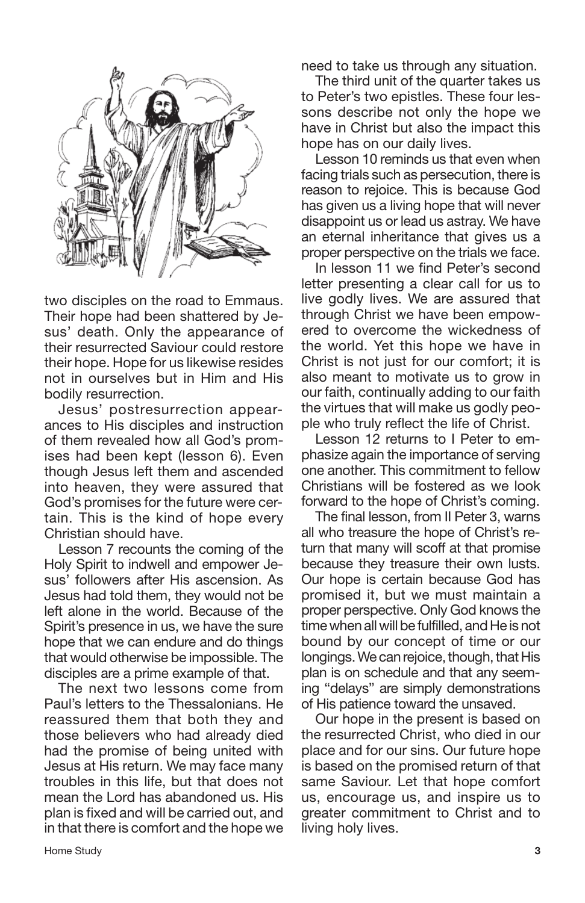

two disciples on the road to Emmaus. Their hope had been shattered by Jesus' death. Only the appearance of their resurrected Saviour could restore their hope. Hope for us likewise resides not in ourselves but in Him and His bodily resurrection.

Jesus' postresurrection appearances to His disciples and instruction of them revealed how all God's promises had been kept (lesson 6). Even though Jesus left them and ascended into heaven, they were assured that God's promises for the future were certain. This is the kind of hope every Christian should have.

Lesson 7 recounts the coming of the Holy Spirit to indwell and empower Jesus' followers after His ascension. As Jesus had told them, they would not be left alone in the world. Because of the Spirit's presence in us, we have the sure hope that we can endure and do things that would otherwise be impossible. The disciples are a prime example of that.

The next two lessons come from Paul's letters to the Thessalonians. He reassured them that both they and those believers who had already died had the promise of being united with Jesus at His return. We may face many troubles in this life, but that does not mean the Lord has abandoned us. His plan is fixed and will be carried out, and in that there is comfort and the hope we

need to take us through any situation.

The third unit of the quarter takes us to Peter's two epistles. These four lessons describe not only the hope we have in Christ but also the impact this hope has on our daily lives.

Lesson 10 reminds us that even when facing trials such as persecution, there is reason to rejoice. This is because God has given us a living hope that will never disappoint us or lead us astray. We have an eternal inheritance that gives us a proper perspective on the trials we face.

In lesson 11 we find Peter's second letter presenting a clear call for us to live godly lives. We are assured that through Christ we have been empowered to overcome the wickedness of the world. Yet this hope we have in Christ is not just for our comfort; it is also meant to motivate us to grow in our faith, continually adding to our faith the virtues that will make us godly people who truly reflect the life of Christ.

Lesson 12 returns to I Peter to emphasize again the importance of serving one another. This commitment to fellow Christians will be fostered as we look forward to the hope of Christ's coming.

The final lesson, from II Peter 3, warns all who treasure the hope of Christ's return that many will scoff at that promise because they treasure their own lusts. Our hope is certain because God has promised it, but we must maintain a proper perspective. Only God knows the time when all will be fulfilled, and He is not bound by our concept of time or our longings. We can rejoice, though, that His plan is on schedule and that any seeming "delays" are simply demonstrations of His patience toward the unsaved.

Our hope in the present is based on the resurrected Christ, who died in our place and for our sins. Our future hope is based on the promised return of that same Saviour. Let that hope comfort us, encourage us, and inspire us to greater commitment to Christ and to living holy lives.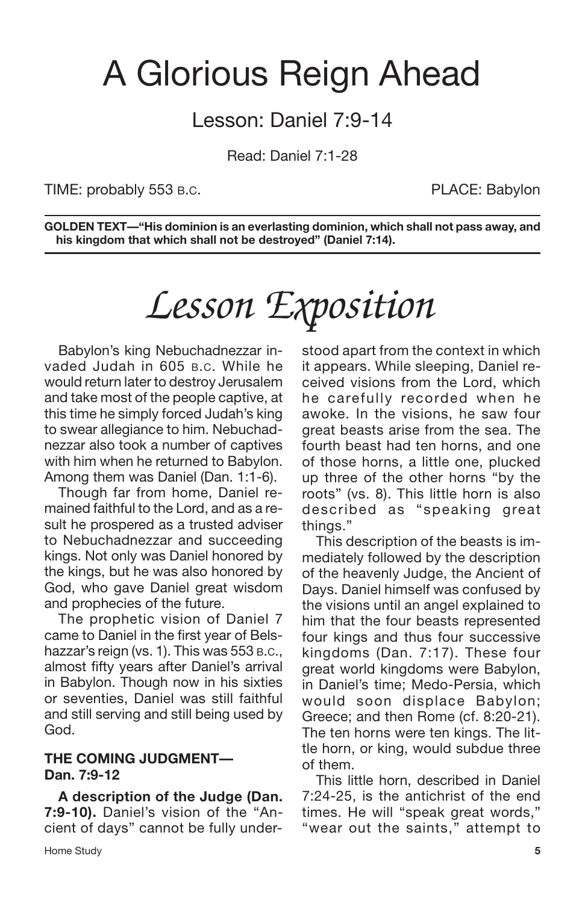## A Glorious Reign Ahead

## Lesson: Daniel 7:9-14

Read: Daniel 7:1-28

TIME: probably 553 B.C. THE STATE STATE: Babylon

**GOLDEN TEXT—"His dominion is an everlasting dominion, which shall not pass away, and his kingdom that which shall not be destroyed" (Daniel 7:14).**

# *Lesson Exposition*

Babylon's king Nebuchadnezzar invaded Judah in 605 B.C. While he would return later to destroy Jerusalem and take most of the people captive, at this time he simply forced Judah's king to swear allegiance to him. Nebuchadnezzar also took a number of captives with him when he returned to Babylon. Among them was Daniel (Dan. 1:1-6).

Though far from home, Daniel remained faithful to the Lord, and as a result he prospered as a trusted adviser to Nebuchadnezzar and succeeding kings. Not only was Daniel honored by the kings, but he was also honored by God, who gave Daniel great wisdom and prophecies of the future.

The prophetic vision of Daniel 7 came to Daniel in the first year of Belshazzar's reign (vs. 1). This was 553 B.C., almost fifty years after Daniel's arrival in Babylon. Though now in his sixties or seventies, Daniel was still faithful and still serving and still being used by God.

### **THE COMING JUDGMENT— Dan. 7:9-12**

**A description of the Judge (Dan. 7:9-10).** Daniel's vision of the "Ancient of days" cannot be fully under-

Home Study **5**

stood apart from the context in which it appears. While sleeping, Daniel received visions from the Lord, which he carefully recorded when he awoke. In the visions, he saw four great beasts arise from the sea. The fourth beast had ten horns, and one of those horns, a little one, plucked up three of the other horns "by the roots" (vs. 8). This little horn is also described as "speaking great things."

This description of the beasts is immediately followed by the description of the heavenly Judge, the Ancient of Days. Daniel himself was confused by the visions until an angel explained to him that the four beasts represented four kings and thus four successive kingdoms (Dan. 7:17). These four great world kingdoms were Babylon, in Daniel's time; Medo-Persia, which would soon displace Babylon; Greece; and then Rome (cf. 8:20-21). The ten horns were ten kings. The little horn, or king, would subdue three of them.

This little horn, described in Daniel 7:24-25, is the antichrist of the end times. He will "speak great words," "wear out the saints," attempt to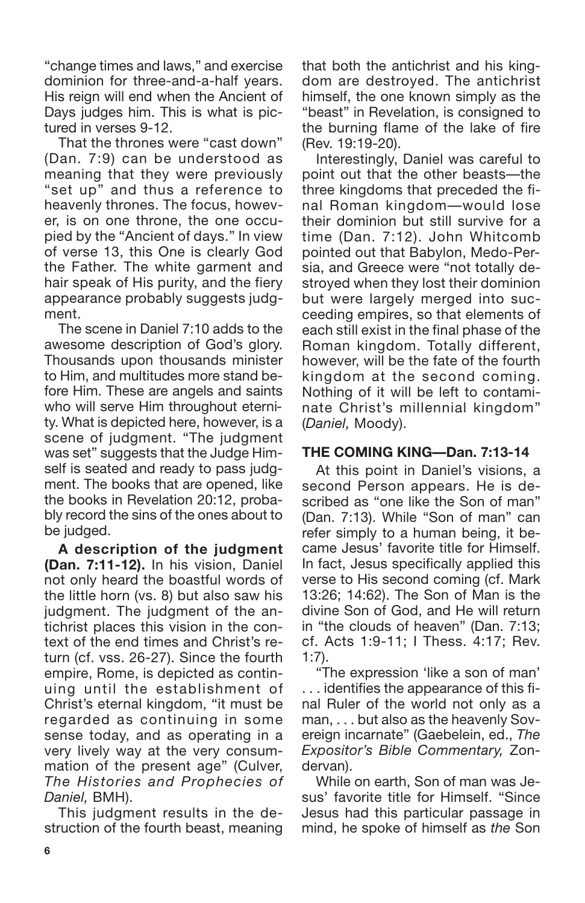"change times and laws," and exercise dominion for three-and-a-half years. His reign will end when the Ancient of Days judges him. This is what is pictured in verses 9-12.

That the thrones were "cast down" (Dan. 7:9) can be understood as meaning that they were previously "set up" and thus a reference to heavenly thrones. The focus, however, is on one throne, the one occupied by the "Ancient of days." In view of verse 13, this One is clearly God the Father. The white garment and hair speak of His purity, and the fiery appearance probably suggests judgment.

The scene in Daniel 7:10 adds to the awesome description of God's glory. Thousands upon thousands minister to Him, and multitudes more stand before Him. These are angels and saints who will serve Him throughout eternity. What is depicted here, however, is a scene of judgment. "The judgment was set" suggests that the Judge Himself is seated and ready to pass judgment. The books that are opened, like the books in Revelation 20:12, probably record the sins of the ones about to be judged.

**A description of the judgment (Dan. 7:11-12).** In his vision, Daniel not only heard the boastful words of the little horn (vs. 8) but also saw his judgment. The judgment of the antichrist places this vision in the context of the end times and Christ's return (cf. vss. 26-27). Since the fourth empire, Rome, is depicted as continuing until the establishment of Christ's eternal kingdom, "it must be regarded as continuing in some sense today, and as operating in a very lively way at the very consummation of the present age" (Culver, *The Histories and Prophecies of Daniel,* BMH).

This judgment results in the destruction of the fourth beast, meaning that both the antichrist and his kingdom are destroyed. The antichrist himself, the one known simply as the "beast" in Revelation, is consigned to the burning flame of the lake of fire (Rev. 19:19-20).

Interestingly, Daniel was careful to point out that the other beasts—the three kingdoms that preceded the final Roman kingdom—would lose their dominion but still survive for a time (Dan. 7:12). John Whitcomb pointed out that Babylon, Medo-Persia, and Greece were "not totally destroyed when they lost their dominion but were largely merged into succeeding empires, so that elements of each still exist in the final phase of the Roman kingdom. Totally different, however, will be the fate of the fourth kingdom at the second coming. Nothing of it will be left to contaminate Christ's millennial kingdom" (*Daniel,* Moody).

### **THE COMING KING—Dan. 7:13-14**

At this point in Daniel's visions, a second Person appears. He is described as "one like the Son of man" (Dan. 7:13). While "Son of man" can refer simply to a human being, it became Jesus' favorite title for Himself. In fact, Jesus specifically applied this verse to His second coming (cf. Mark 13:26; 14:62). The Son of Man is the divine Son of God, and He will return in "the clouds of heaven" (Dan. 7:13; cf. Acts 1:9-11; I Thess. 4:17; Rev. 1:7).

"The expression 'like a son of man' . . . identifies the appearance of this final Ruler of the world not only as a man, . . . but also as the heavenly Sovereign incarnate" (Gaebelein, ed., *The Expositor's Bible Commentary,* Zondervan).

While on earth, Son of man was Jesus' favorite title for Himself. "Since Jesus had this particular passage in mind, he spoke of himself as *the* Son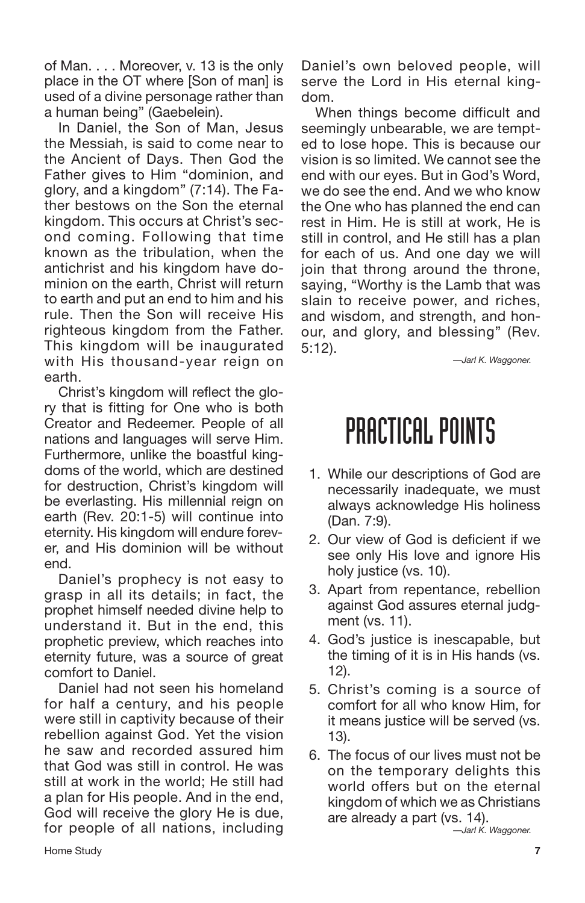of Man. . . . Moreover, v. 13 is the only place in the OT where [Son of man] is used of a divine personage rather than a human being" (Gaebelein).

In Daniel, the Son of Man, Jesus the Messiah, is said to come near to the Ancient of Days. Then God the Father gives to Him "dominion, and glory, and a kingdom" (7:14). The Father bestows on the Son the eternal kingdom. This occurs at Christ's second coming. Following that time known as the tribulation, when the antichrist and his kingdom have dominion on the earth, Christ will return to earth and put an end to him and his rule. Then the Son will receive His righteous kingdom from the Father. This kingdom will be inaugurated with His thousand-year reign on earth.

Christ's kingdom will reflect the glory that is fitting for One who is both Creator and Redeemer. People of all nations and languages will serve Him. Furthermore, unlike the boastful kingdoms of the world, which are destined for destruction, Christ's kingdom will be everlasting. His millennial reign on earth (Rev. 20:1-5) will continue into eternity. His kingdom will endure forever, and His dominion will be without end.

Daniel's prophecy is not easy to grasp in all its details; in fact, the prophet himself needed divine help to understand it. But in the end, this prophetic preview, which reaches into eternity future, was a source of great comfort to Daniel.

Daniel had not seen his homeland for half a century, and his people were still in captivity because of their rebellion against God. Yet the vision he saw and recorded assured him that God was still in control. He was still at work in the world; He still had a plan for His people. And in the end, God will receive the glory He is due, for people of all nations, including

Daniel's own beloved people, will serve the Lord in His eternal kingdom.

When things become difficult and seemingly unbearable, we are tempted to lose hope. This is because our vision is so limited. We cannot see the end with our eyes. But in God's Word, we do see the end. And we who know the One who has planned the end can rest in Him. He is still at work, He is still in control, and He still has a plan for each of us. And one day we will join that throng around the throne, saying, "Worthy is the Lamb that was slain to receive power, and riches, and wisdom, and strength, and honour, and glory, and blessing" (Rev. 5:12).

*—Jarl K. Waggoner.*

## PRACTICAL POINTS

- 1. While our descriptions of God are necessarily inadequate, we must always acknowledge His holiness (Dan. 7:9).
- 2. Our view of God is deficient if we see only His love and ignore His holy justice (vs. 10).
- 3. Apart from repentance, rebellion against God assures eternal judgment (vs. 11).
- 4. God's justice is inescapable, but the timing of it is in His hands (vs. 12).
- 5. Christ's coming is a source of comfort for all who know Him, for it means justice will be served (vs. 13).
- 6. The focus of our lives must not be on the temporary delights this world offers but on the eternal kingdom of which we as Christians are already a part (vs. 14).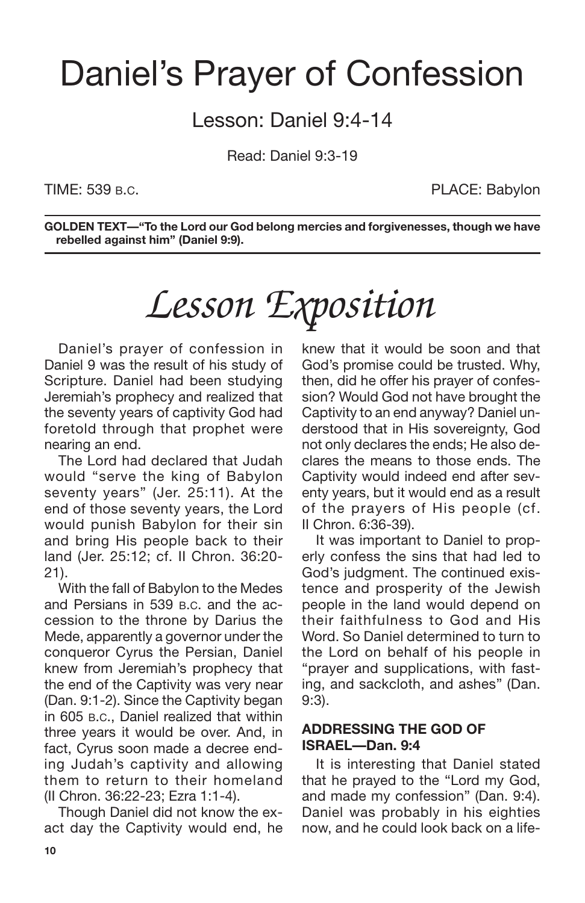## Daniel's Prayer of Confession

Lesson: Daniel 9:4-14

Read: Daniel 9:3-19

TIME: 539 B.C. **PLACE: Babylon** 

**GOLDEN TEXT—"To the Lord our God belong mercies and forgivenesses, though we have rebelled against him" (Daniel 9:9).**

# *Lesson Exposition*

Daniel's prayer of confession in Daniel 9 was the result of his study of Scripture. Daniel had been studying Jeremiah's prophecy and realized that the seventy years of captivity God had foretold through that prophet were nearing an end.

The Lord had declared that Judah would "serve the king of Babylon seventy years" (Jer. 25:11). At the end of those seventy years, the Lord would punish Babylon for their sin and bring His people back to their land (Jer. 25:12; cf. II Chron. 36:20- 21).

With the fall of Babylon to the Medes and Persians in 539 B.C. and the accession to the throne by Darius the Mede, apparently a governor under the conqueror Cyrus the Persian, Daniel knew from Jeremiah's prophecy that the end of the Captivity was very near (Dan. 9:1-2). Since the Captivity began in 605 B.C., Daniel realized that within three years it would be over. And, in fact, Cyrus soon made a decree ending Judah's captivity and allowing them to return to their homeland (II Chron. 36:22-23; Ezra 1:1-4).

Though Daniel did not know the exact day the Captivity would end, he knew that it would be soon and that God's promise could be trusted. Why, then, did he offer his prayer of confession? Would God not have brought the Captivity to an end anyway? Daniel understood that in His sovereignty, God not only declares the ends; He also declares the means to those ends. The Captivity would indeed end after seventy years, but it would end as a result of the prayers of His people (cf. II Chron. 6:36-39).

It was important to Daniel to properly confess the sins that had led to God's judgment. The continued existence and prosperity of the Jewish people in the land would depend on their faithfulness to God and His Word. So Daniel determined to turn to the Lord on behalf of his people in "prayer and supplications, with fasting, and sackcloth, and ashes" (Dan. 9:3).

### **ADDRESSING THE GOD OF ISRAEL—Dan. 9:4**

It is interesting that Daniel stated that he prayed to the "Lord my God, and made my confession" (Dan. 9:4). Daniel was probably in his eighties now, and he could look back on a life-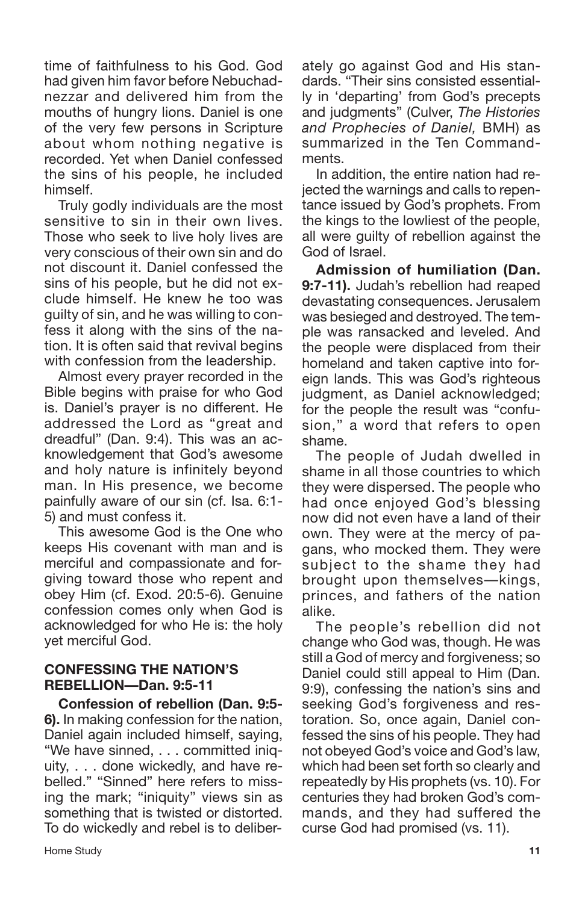time of faithfulness to his God. God had given him favor before Nebuchadnezzar and delivered him from the mouths of hungry lions. Daniel is one of the very few persons in Scripture about whom nothing negative is recorded. Yet when Daniel confessed the sins of his people, he included himself.

Truly godly individuals are the most sensitive to sin in their own lives. Those who seek to live holy lives are very conscious of their own sin and do not discount it. Daniel confessed the sins of his people, but he did not exclude himself. He knew he too was guilty of sin, and he was willing to confess it along with the sins of the nation. It is often said that revival begins with confession from the leadership.

Almost every prayer recorded in the Bible begins with praise for who God is. Daniel's prayer is no different. He addressed the Lord as "great and dreadful" (Dan. 9:4). This was an acknowledgement that God's awesome and holy nature is infinitely beyond man. In His presence, we become painfully aware of our sin (cf. Isa. 6:1- 5) and must confess it.

This awesome God is the One who keeps His covenant with man and is merciful and compassionate and forgiving toward those who repent and obey Him (cf. Exod. 20:5-6). Genuine confession comes only when God is acknowledged for who He is: the holy yet merciful God.

### **CONFESSING THE NATION'S REBELLION—Dan. 9:5-11**

**Confession of rebellion (Dan. 9:5- 6).** In making confession for the nation, Daniel again included himself, saying, "We have sinned, . . . committed iniquity, . . . done wickedly, and have rebelled." "Sinned" here refers to missing the mark; "iniquity" views sin as something that is twisted or distorted. To do wickedly and rebel is to deliberately go against God and His standards. "Their sins consisted essentially in 'departing' from God's precepts and judgments" (Culver, *The Histories and Prophecies of Daniel,* BMH) as summarized in the Ten Commandments.

In addition, the entire nation had rejected the warnings and calls to repentance issued by God's prophets. From the kings to the lowliest of the people, all were guilty of rebellion against the God of Israel.

**Admission of humiliation (Dan. 9:7-11).** Judah's rebellion had reaped devastating consequences. Jerusalem was besieged and destroyed. The temple was ransacked and leveled. And the people were displaced from their homeland and taken captive into foreign lands. This was God's righteous judgment, as Daniel acknowledged; for the people the result was "confusion," a word that refers to open shame.

The people of Judah dwelled in shame in all those countries to which they were dispersed. The people who had once enjoyed God's blessing now did not even have a land of their own. They were at the mercy of pagans, who mocked them. They were subject to the shame they had brought upon themselves—kings, princes, and fathers of the nation alike.

The people's rebellion did not change who God was, though. He was still a God of mercy and forgiveness; so Daniel could still appeal to Him (Dan. 9:9), confessing the nation's sins and seeking God's forgiveness and restoration. So, once again, Daniel confessed the sins of his people. They had not obeyed God's voice and God's law, which had been set forth so clearly and repeatedly by His prophets (vs. 10). For centuries they had broken God's commands, and they had suffered the curse God had promised (vs. 11).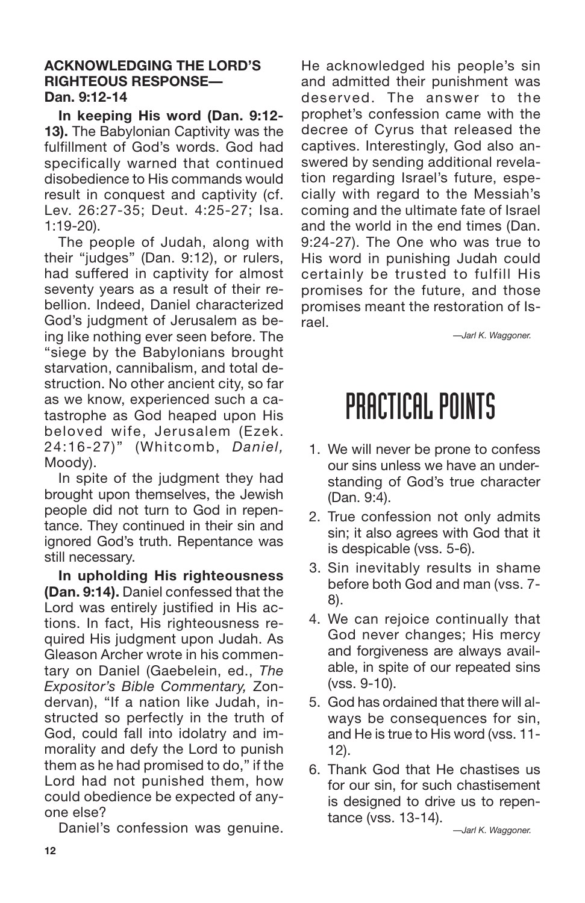### **ACKNOWLEDGING THE LORD'S RIGHTEOUS RESPONSE— Dan. 9:12-14**

**In keeping His word (Dan. 9:12- 13).** The Babylonian Captivity was the fulfillment of God's words. God had specifically warned that continued disobedience to His commands would result in conquest and captivity (cf. Lev. 26:27-35; Deut. 4:25-27; Isa. 1:19-20).

The people of Judah, along with their "judges" (Dan. 9:12), or rulers, had suffered in captivity for almost seventy years as a result of their rebellion. Indeed, Daniel characterized God's judgment of Jerusalem as being like nothing ever seen before. The "siege by the Babylonians brought starvation, cannibalism, and total destruction. No other ancient city, so far as we know, experienced such a catastrophe as God heaped upon His beloved wife, Jerusalem (Ezek. 24:16-27)" (Whitcomb, *Daniel,* Moody).

In spite of the judgment they had brought upon themselves, the Jewish people did not turn to God in repentance. They continued in their sin and ignored God's truth. Repentance was still necessary.

**In upholding His righteousness (Dan. 9:14).** Daniel confessed that the Lord was entirely justified in His actions. In fact, His righteousness required His judgment upon Judah. As Gleason Archer wrote in his commentary on Daniel (Gaebelein, ed., *The Expositor's Bible Commentary,* Zondervan), "If a nation like Judah, instructed so perfectly in the truth of God, could fall into idolatry and immorality and defy the Lord to punish them as he had promised to do," if the Lord had not punished them, how could obedience be expected of anyone else?

Daniel's confession was genuine.

He acknowledged his people's sin and admitted their punishment was deserved. The answer to the prophet's confession came with the decree of Cyrus that released the captives. Interestingly, God also answered by sending additional revelation regarding Israel's future, especially with regard to the Messiah's coming and the ultimate fate of Israel and the world in the end times (Dan. 9:24-27). The One who was true to His word in punishing Judah could certainly be trusted to fulfill His promises for the future, and those promises meant the restoration of Israel.

*—Jarl K. Waggoner.*

## PRACTICAL POINTS

- 1. We will never be prone to confess our sins unless we have an understanding of God's true character (Dan. 9:4).
- 2. True confession not only admits sin; it also agrees with God that it is despicable (vss. 5-6).
- 3. Sin inevitably results in shame before both God and man (vss. 7- 8).
- 4. We can rejoice continually that God never changes; His mercy and forgiveness are always available, in spite of our repeated sins (vss. 9-10).
- 5. God has ordained that there will always be consequences for sin, and He is true to His word (vss. 11- 12).
- 6. Thank God that He chastises us for our sin, for such chastisement is designed to drive us to repentance (vss. 13-14).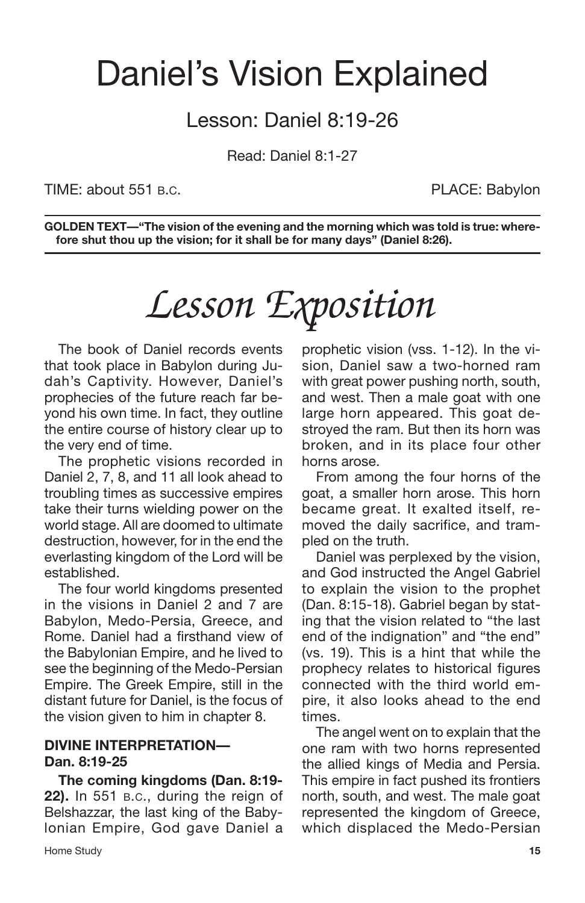## Daniel's Vision Explained

## Lesson: Daniel 8:19-26

Read: Daniel 8:1-27

TIME: about 551 B.C. **PLACE: Babylon** 

**GOLDEN TEXT—"The vision of the evening and the morning which was told is true: wherefore shut thou up the vision; for it shall be for many days" (Daniel 8:26).**

# *Lesson Exposition*

The book of Daniel records events that took place in Babylon during Judah's Captivity. However, Daniel's prophecies of the future reach far beyond his own time. In fact, they outline the entire course of history clear up to the very end of time.

The prophetic visions recorded in Daniel 2, 7, 8, and 11 all look ahead to troubling times as successive empires take their turns wielding power on the world stage. All are doomed to ultimate destruction, however, for in the end the everlasting kingdom of the Lord will be established.

The four world kingdoms presented in the visions in Daniel 2 and 7 are Babylon, Medo-Persia, Greece, and Rome. Daniel had a firsthand view of the Babylonian Empire, and he lived to see the beginning of the Medo-Persian Empire. The Greek Empire, still in the distant future for Daniel, is the focus of the vision given to him in chapter 8.

### **DIVINE INTERPRETATION— Dan. 8:19-25**

**The coming kingdoms (Dan. 8:19- 22).** In 551 B.C., during the reign of Belshazzar, the last king of the Babylonian Empire, God gave Daniel a prophetic vision (vss. 1-12). In the vision, Daniel saw a two-horned ram with great power pushing north, south, and west. Then a male goat with one large horn appeared. This goat destroyed the ram. But then its horn was broken, and in its place four other horns arose.

From among the four horns of the goat, a smaller horn arose. This horn became great. It exalted itself, removed the daily sacrifice, and trampled on the truth.

Daniel was perplexed by the vision, and God instructed the Angel Gabriel to explain the vision to the prophet (Dan. 8:15-18). Gabriel began by stating that the vision related to "the last end of the indignation" and "the end" (vs. 19). This is a hint that while the prophecy relates to historical figures connected with the third world empire, it also looks ahead to the end times.

The angel went on to explain that the one ram with two horns represented the allied kings of Media and Persia. This empire in fact pushed its frontiers north, south, and west. The male goat represented the kingdom of Greece, which displaced the Medo-Persian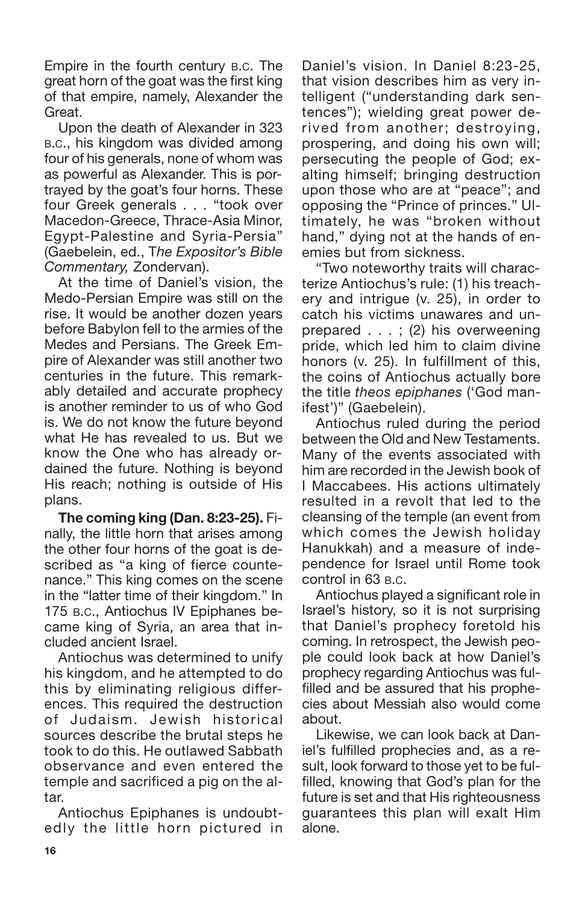Empire in the fourth century B.C. The great horn of the goat was the first king of that empire, namely, Alexander the Great.

Upon the death of Alexander in 323 B.C., his kingdom was divided among four of his generals, none of whom was as powerful as Alexander. This is portrayed by the goat's four horns. These four Greek generals . . . "took over Macedon-Greece, Thrace-Asia Minor, Egypt-Palestine and Syria-Persia" (Gaebelein, ed., T*he Expositor's Bible Commentary,* Zondervan).

At the time of Daniel's vision, the Medo-Persian Empire was still on the rise. It would be another dozen years before Babylon fell to the armies of the Medes and Persians. The Greek Empire of Alexander was still another two centuries in the future. This remarkably detailed and accurate prophecy is another reminder to us of who God is. We do not know the future beyond what He has revealed to us. But we know the One who has already ordained the future. Nothing is beyond His reach; nothing is outside of His plans.

**The coming king (Dan. 8:23-25).** Finally, the little horn that arises among the other four horns of the goat is described as "a king of fierce countenance." This king comes on the scene in the "latter time of their kingdom." In 175 B.C., Antiochus IV Epiphanes became king of Syria, an area that included ancient Israel.

Antiochus was determined to unify his kingdom, and he attempted to do this by eliminating religious differences. This required the destruction of Judaism. Jewish historical sources describe the brutal steps he took to do this. He outlawed Sabbath observance and even entered the temple and sacrificed a pig on the altar.

Antiochus Epiphanes is undoubtedly the little horn pictured in Daniel's vision. In Daniel 8:23-25, that vision describes him as very intelligent ("understanding dark sentences"); wielding great power derived from another; destroying, prospering, and doing his own will; persecuting the people of God; exalting himself; bringing destruction upon those who are at "peace"; and opposing the "Prince of princes." Ultimately, he was "broken without hand," dying not at the hands of enemies but from sickness.

"Two noteworthy traits will characterize Antiochus's rule: (1) his treachery and intrigue (v. 25), in order to catch his victims unawares and unprepared . . . ; (2) his overweening pride, which led him to claim divine honors (v. 25). In fulfillment of this, the coins of Antiochus actually bore the title *theos epiphanes* ('God manifest')" (Gaebelein).

Antiochus ruled during the period between the Old and New Testaments. Many of the events associated with him are recorded in the Jewish book of I Maccabees. His actions ultimately resulted in a revolt that led to the cleansing of the temple (an event from which comes the Jewish holiday Hanukkah) and a measure of independence for Israel until Rome took control in 63 B.C.

Antiochus played a significant role in Israel's history, so it is not surprising that Daniel's prophecy foretold his coming. In retrospect, the Jewish people could look back at how Daniel's prophecy regarding Antiochus was fulfilled and be assured that his prophecies about Messiah also would come about.

Likewise, we can look back at Daniel's fulfilled prophecies and, as a result, look forward to those yet to be fulfilled, knowing that God's plan for the future is set and that His righteousness guarantees this plan will exalt Him alone.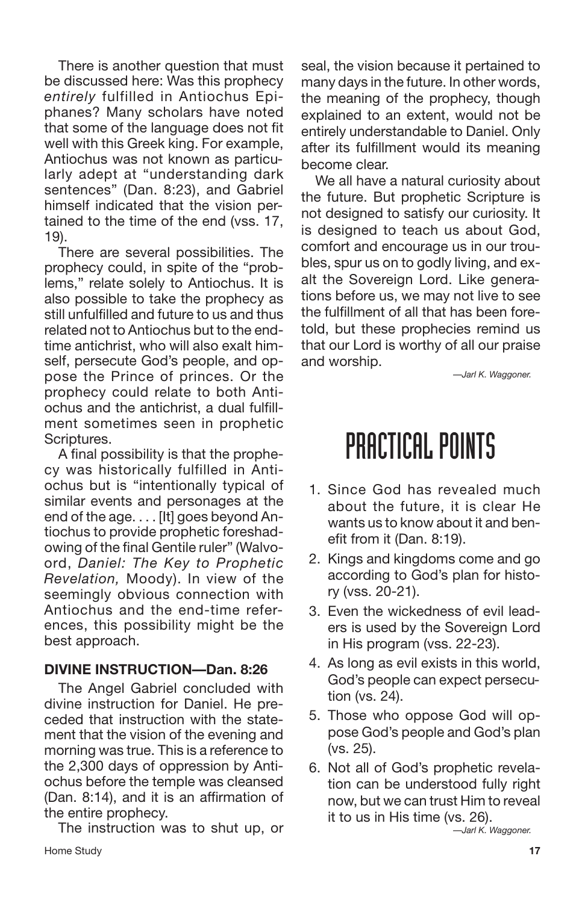There is another question that must be discussed here: Was this prophecy *entirely* fulfilled in Antiochus Epiphanes? Many scholars have noted that some of the language does not fit well with this Greek king. For example, Antiochus was not known as particularly adept at "understanding dark sentences" (Dan. 8:23), and Gabriel himself indicated that the vision pertained to the time of the end (vss. 17, 19).

There are several possibilities. The prophecy could, in spite of the "problems," relate solely to Antiochus. It is also possible to take the prophecy as still unfulfilled and future to us and thus related not to Antiochus but to the endtime antichrist, who will also exalt himself, persecute God's people, and oppose the Prince of princes. Or the prophecy could relate to both Antiochus and the antichrist, a dual fulfillment sometimes seen in prophetic Scriptures.

A final possibility is that the prophecy was historically fulfilled in Antiochus but is "intentionally typical of similar events and personages at the end of the age. . . . [It] goes beyond Antiochus to provide prophetic foreshadowing of the final Gentile ruler" (Walvoord, *Daniel: The Key to Prophetic Revelation,* Moody). In view of the seemingly obvious connection with Antiochus and the end-time references, this possibility might be the best approach.

## **DIVINE INSTRUCTION—Dan. 8:26**

The Angel Gabriel concluded with divine instruction for Daniel. He preceded that instruction with the statement that the vision of the evening and morning was true. This is a reference to the 2,300 days of oppression by Antiochus before the temple was cleansed (Dan. 8:14), and it is an affirmation of the entire prophecy.

The instruction was to shut up, or **Home Study 17** 

seal, the vision because it pertained to many days in the future. In other words, the meaning of the prophecy, though explained to an extent, would not be entirely understandable to Daniel. Only after its fulfillment would its meaning become clear.

We all have a natural curiosity about the future. But prophetic Scripture is not designed to satisfy our curiosity. It is designed to teach us about God, comfort and encourage us in our troubles, spur us on to godly living, and exalt the Sovereign Lord. Like generations before us, we may not live to see the fulfillment of all that has been foretold, but these prophecies remind us that our Lord is worthy of all our praise and worship.

*—Jarl K. Waggoner.*

# PRACTICAL POINTS

- 1. Since God has revealed much about the future, it is clear He wants us to know about it and benefit from it (Dan. 8:19).
- 2. Kings and kingdoms come and go according to God's plan for history (vss. 20-21).
- 3. Even the wickedness of evil leaders is used by the Sovereign Lord in His program (vss. 22-23).
- 4. As long as evil exists in this world, God's people can expect persecution (vs. 24).
- 5. Those who oppose God will oppose God's people and God's plan (vs. 25).
- 6. Not all of God's prophetic revelation can be understood fully right now, but we can trust Him to reveal it to us in His time (vs. 26).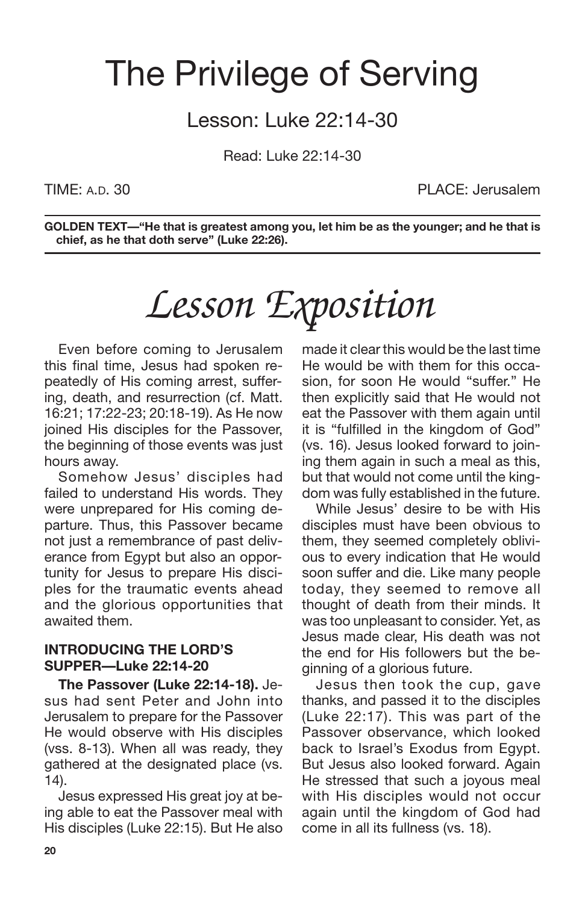## The Privilege of Serving

## Lesson: Luke 22:14-30

Read: Luke 22:14-30

TIME: A.D. 30 PLACE: Jerusalem

**GOLDEN TEXT—"He that is greatest among you, let him be as the younger; and he that is chief, as he that doth serve" (Luke 22:26).**

# *Lesson Exposition*

Even before coming to Jerusalem this final time, Jesus had spoken repeatedly of His coming arrest, suffering, death, and resurrection (cf. Matt. 16:21; 17:22-23; 20:18-19). As He now joined His disciples for the Passover, the beginning of those events was just hours away.

Somehow Jesus' disciples had failed to understand His words. They were unprepared for His coming departure. Thus, this Passover became not just a remembrance of past deliverance from Egypt but also an opportunity for Jesus to prepare His disciples for the traumatic events ahead and the glorious opportunities that awaited them.

### **INTRODUCING THE LORD'S SUPPER—Luke 22:14-20**

**The Passover (Luke 22:14-18).** Jesus had sent Peter and John into Jerusalem to prepare for the Passover He would observe with His disciples (vss. 8-13). When all was ready, they gathered at the designated place (vs. 14).

Jesus expressed His great joy at being able to eat the Passover meal with His disciples (Luke 22:15). But He also made it clear this would be the last time He would be with them for this occasion, for soon He would "suffer." He then explicitly said that He would not eat the Passover with them again until it is "fulfilled in the kingdom of God" (vs. 16). Jesus looked forward to joining them again in such a meal as this, but that would not come until the kingdom was fully established in the future.

While Jesus' desire to be with His disciples must have been obvious to them, they seemed completely oblivious to every indication that He would soon suffer and die. Like many people today, they seemed to remove all thought of death from their minds. It was too unpleasant to consider. Yet, as Jesus made clear, His death was not the end for His followers but the beginning of a glorious future.

Jesus then took the cup, gave thanks, and passed it to the disciples (Luke 22:17). This was part of the Passover observance, which looked back to Israel's Exodus from Egypt. But Jesus also looked forward. Again He stressed that such a joyous meal with His disciples would not occur again until the kingdom of God had come in all its fullness (vs. 18).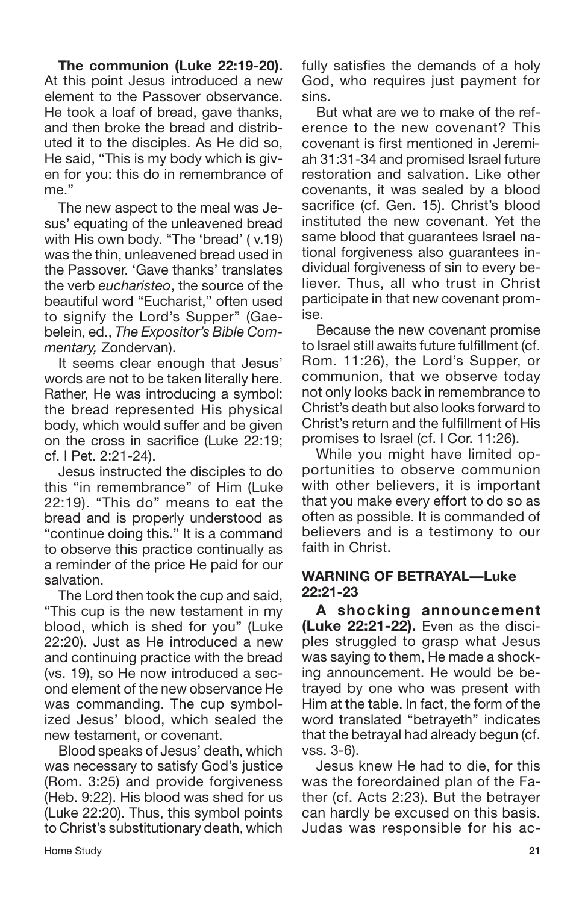**The communion (Luke 22:19-20).** At this point Jesus introduced a new element to the Passover observance. He took a loaf of bread, gave thanks, and then broke the bread and distributed it to the disciples. As He did so, He said, "This is my body which is given for you: this do in remembrance of me."

The new aspect to the meal was Jesus' equating of the unleavened bread with His own body. "The 'bread' ( v.19) was the thin, unleavened bread used in the Passover. 'Gave thanks' translates the verb *eucharisteo*, the source of the beautiful word "Eucharist," often used to signify the Lord's Supper" (Gaebelein, ed., *The Expositor's Bible Commentary,* Zondervan).

It seems clear enough that Jesus' words are not to be taken literally here. Rather, He was introducing a symbol: the bread represented His physical body, which would suffer and be given on the cross in sacrifice (Luke 22:19; cf. I Pet. 2:21-24).

Jesus instructed the disciples to do this "in remembrance" of Him (Luke 22:19). "This do" means to eat the bread and is properly understood as "continue doing this." It is a command to observe this practice continually as a reminder of the price He paid for our salvation.

The Lord then took the cup and said, "This cup is the new testament in my blood, which is shed for you" (Luke 22:20). Just as He introduced a new and continuing practice with the bread (vs. 19), so He now introduced a second element of the new observance He was commanding. The cup symbolized Jesus' blood, which sealed the new testament, or covenant.

Blood speaks of Jesus' death, which was necessary to satisfy God's justice (Rom. 3:25) and provide forgiveness (Heb. 9:22). His blood was shed for us (Luke 22:20). Thus, this symbol points to Christ's substitutionary death, which

Home Study **21**

fully satisfies the demands of a holy God, who requires just payment for sins.

But what are we to make of the reference to the new covenant? This covenant is first mentioned in Jeremiah 31:31-34 and promised Israel future restoration and salvation. Like other covenants, it was sealed by a blood sacrifice (cf. Gen. 15). Christ's blood instituted the new covenant. Yet the same blood that guarantees Israel national forgiveness also guarantees individual forgiveness of sin to every believer. Thus, all who trust in Christ participate in that new covenant promise.

Because the new covenant promise to Israel still awaits future fulfillment (cf. Rom. 11:26), the Lord's Supper, or communion, that we observe today not only looks back in remembrance to Christ's death but also looks forward to Christ's return and the fulfillment of His promises to Israel (cf. I Cor. 11:26).

While you might have limited opportunities to observe communion with other believers, it is important that you make every effort to do so as often as possible. It is commanded of believers and is a testimony to our faith in Christ.

### **WARNING OF BETRAYAL—Luke 22:21-23**

**A shocking announcement (Luke 22:21-22).** Even as the disciples struggled to grasp what Jesus was saying to them, He made a shocking announcement. He would be betrayed by one who was present with Him at the table. In fact, the form of the word translated "betrayeth" indicates that the betrayal had already begun (cf. vss. 3-6).

Jesus knew He had to die, for this was the foreordained plan of the Father (cf. Acts 2:23). But the betrayer can hardly be excused on this basis. Judas was responsible for his ac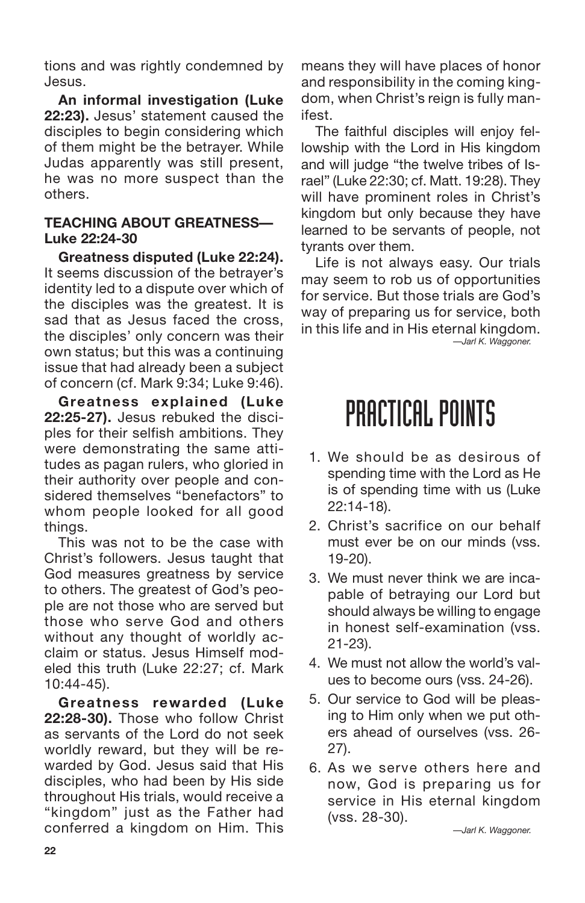tions and was rightly condemned by Jesus.

**An informal investigation (Luke 22:23).** Jesus' statement caused the disciples to begin considering which of them might be the betrayer. While Judas apparently was still present, he was no more suspect than the others.

### **TEACHING ABOUT GREATNESS— Luke 22:24-30**

**Greatness disputed (Luke 22:24).** It seems discussion of the betrayer's identity led to a dispute over which of the disciples was the greatest. It is sad that as Jesus faced the cross, the disciples' only concern was their own status; but this was a continuing issue that had already been a subject of concern (cf. Mark 9:34; Luke 9:46).

**Greatness explained (Luke 22:25-27).** Jesus rebuked the disciples for their selfish ambitions. They were demonstrating the same attitudes as pagan rulers, who gloried in their authority over people and considered themselves "benefactors" to whom people looked for all good things.

This was not to be the case with Christ's followers. Jesus taught that God measures greatness by service to others. The greatest of God's people are not those who are served but those who serve God and others without any thought of worldly acclaim or status. Jesus Himself modeled this truth (Luke 22:27; cf. Mark 10:44-45).

**Greatness rewarded (Luke 22:28-30).** Those who follow Christ as servants of the Lord do not seek worldly reward, but they will be rewarded by God. Jesus said that His disciples, who had been by His side throughout His trials, would receive a "kingdom" just as the Father had conferred a kingdom on Him. This

means they will have places of honor and responsibility in the coming kingdom, when Christ's reign is fully manifest.

The faithful disciples will enjoy fellowship with the Lord in His kingdom and will judge "the twelve tribes of Israel" (Luke 22:30; cf. Matt. 19:28). They will have prominent roles in Christ's kingdom but only because they have learned to be servants of people, not tyrants over them.

Life is not always easy. Our trials may seem to rob us of opportunities for service. But those trials are God's way of preparing us for service, both in this life and in His eternal kingdom. *—Jarl K. Waggoner.*

## PRACTICAL POINTS

- 1. We should be as desirous of spending time with the Lord as He is of spending time with us (Luke 22:14-18).
- 2. Christ's sacrifice on our behalf must ever be on our minds (vss. 19-20).
- 3. We must never think we are incapable of betraying our Lord but should always be willing to engage in honest self-examination (vss. 21-23).
- 4. We must not allow the world's values to become ours (vss. 24-26).
- 5. Our service to God will be pleasing to Him only when we put others ahead of ourselves (vss. 26- 27).
- 6. As we serve others here and now, God is preparing us for service in His eternal kingdom (vss. 28-30).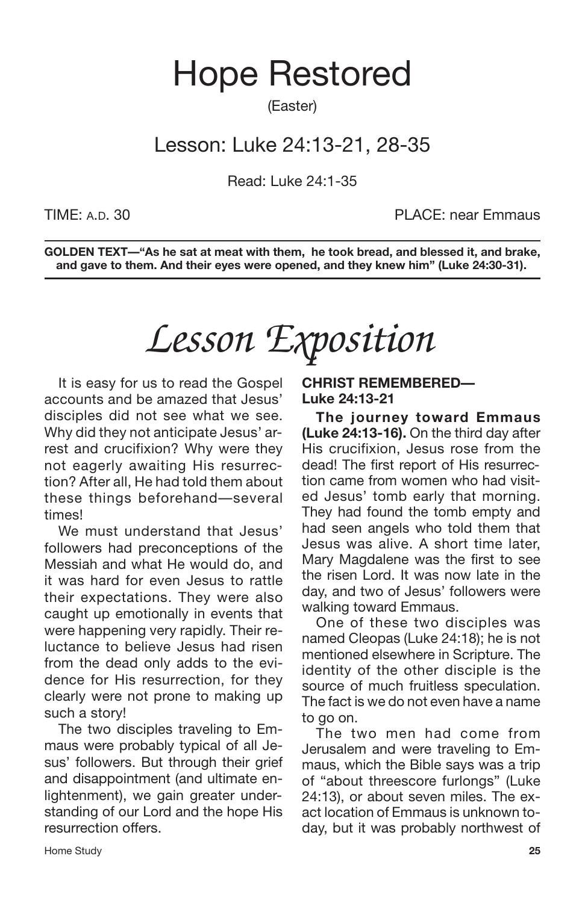## Hope Restored

(Easter)

## Lesson: Luke 24:13-21, 28-35

Read: Luke 24:1-35

TIME: A.D. 30 PLACE: near Emmaus

**GOLDEN TEXT—"As he sat at meat with them, he took bread, and blessed it, and brake, and gave to them. And their eyes were opened, and they knew him" (Luke 24:30-31).**

# *Lesson Exposition*

It is easy for us to read the Gospel accounts and be amazed that Jesus' disciples did not see what we see. Why did they not anticipate Jesus' arrest and crucifixion? Why were they not eagerly awaiting His resurrection? After all, He had told them about these things beforehand—several times!

We must understand that Jesus' followers had preconceptions of the Messiah and what He would do, and it was hard for even Jesus to rattle their expectations. They were also caught up emotionally in events that were happening very rapidly. Their reluctance to believe Jesus had risen from the dead only adds to the evidence for His resurrection, for they clearly were not prone to making up such a story!

The two disciples traveling to Emmaus were probably typical of all Jesus' followers. But through their grief and disappointment (and ultimate enlightenment), we gain greater understanding of our Lord and the hope His resurrection offers.

**CHRIST REMEMBERED— Luke 24:13-21**

**The journey toward Emmaus (Luke 24:13-16).** On the third day after His crucifixion, Jesus rose from the dead! The first report of His resurrection came from women who had visited Jesus' tomb early that morning. They had found the tomb empty and had seen angels who told them that Jesus was alive. A short time later, Mary Magdalene was the first to see the risen Lord. It was now late in the day, and two of Jesus' followers were walking toward Emmaus.

One of these two disciples was named Cleopas (Luke 24:18); he is not mentioned elsewhere in Scripture. The identity of the other disciple is the source of much fruitless speculation. The fact is we do not even have a name to go on.

The two men had come from Jerusalem and were traveling to Emmaus, which the Bible says was a trip of "about threescore furlongs" (Luke 24:13), or about seven miles. The exact location of Emmaus is unknown today, but it was probably northwest of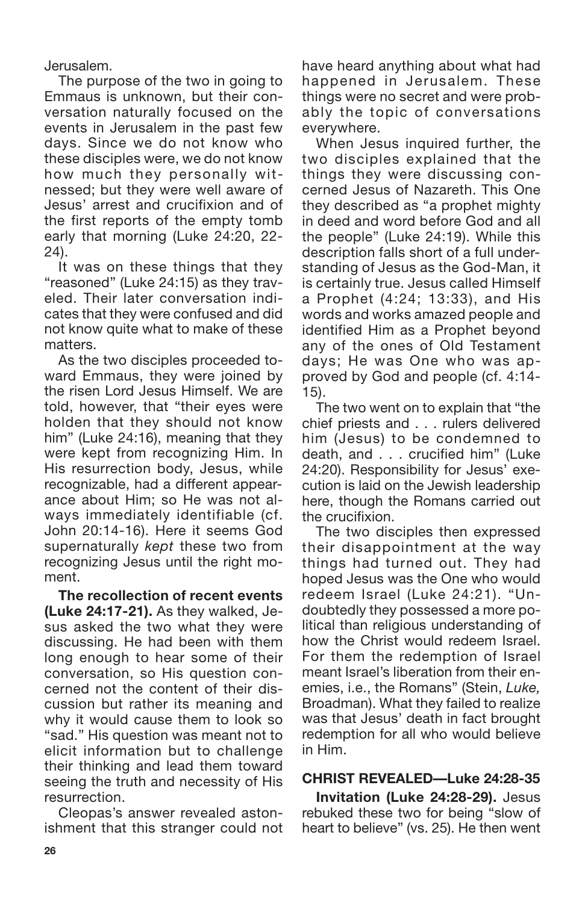Jerusalem.

The purpose of the two in going to Emmaus is unknown, but their conversation naturally focused on the events in Jerusalem in the past few days. Since we do not know who these disciples were, we do not know how much they personally witnessed; but they were well aware of Jesus' arrest and crucifixion and of the first reports of the empty tomb early that morning (Luke 24:20, 22- 24).

It was on these things that they "reasoned" (Luke 24:15) as they traveled. Their later conversation indicates that they were confused and did not know quite what to make of these matters.

As the two disciples proceeded toward Emmaus, they were joined by the risen Lord Jesus Himself. We are told, however, that "their eyes were holden that they should not know him" (Luke 24:16), meaning that they were kept from recognizing Him. In His resurrection body, Jesus, while recognizable, had a different appearance about Him; so He was not always immediately identifiable (cf. John 20:14-16). Here it seems God supernaturally *kept* these two from recognizing Jesus until the right moment.

**The recollection of recent events (Luke 24:17-21).** As they walked, Jesus asked the two what they were discussing. He had been with them long enough to hear some of their conversation, so His question concerned not the content of their discussion but rather its meaning and why it would cause them to look so "sad." His question was meant not to elicit information but to challenge their thinking and lead them toward seeing the truth and necessity of His resurrection.

Cleopas's answer revealed astonishment that this stranger could not have heard anything about what had happened in Jerusalem. These things were no secret and were probably the topic of conversations everywhere.

When Jesus inquired further, the two disciples explained that the things they were discussing concerned Jesus of Nazareth. This One they described as "a prophet mighty in deed and word before God and all the people" (Luke 24:19). While this description falls short of a full understanding of Jesus as the God-Man, it is certainly true. Jesus called Himself a Prophet (4:24; 13:33), and His words and works amazed people and identified Him as a Prophet beyond any of the ones of Old Testament days; He was One who was approved by God and people (cf. 4:14- 15).

The two went on to explain that "the chief priests and . . . rulers delivered him (Jesus) to be condemned to death, and . . . crucified him" (Luke 24:20). Responsibility for Jesus' execution is laid on the Jewish leadership here, though the Romans carried out the crucifixion.

The two disciples then expressed their disappointment at the way things had turned out. They had hoped Jesus was the One who would redeem Israel (Luke 24:21). "Undoubtedly they possessed a more political than religious understanding of how the Christ would redeem Israel. For them the redemption of Israel meant Israel's liberation from their enemies, i.e., the Romans" (Stein, *Luke,* Broadman). What they failed to realize was that Jesus' death in fact brought redemption for all who would believe in Him.

## **CHRIST REVEALED—Luke 24:28-35**

**Invitation (Luke 24:28-29).** Jesus rebuked these two for being "slow of heart to believe" (vs. 25). He then went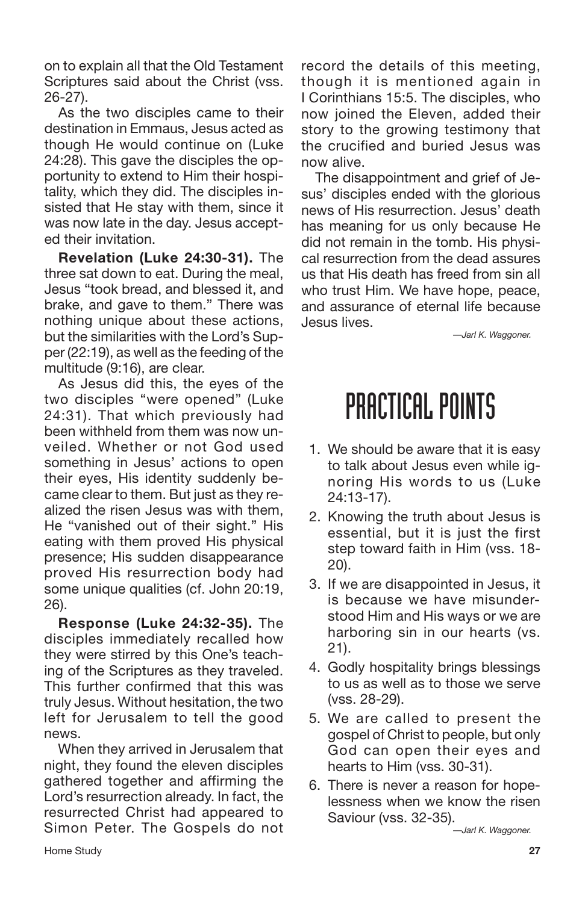on to explain all that the Old Testament Scriptures said about the Christ (vss. 26-27).

As the two disciples came to their destination in Emmaus, Jesus acted as though He would continue on (Luke 24:28). This gave the disciples the opportunity to extend to Him their hospitality, which they did. The disciples insisted that He stay with them, since it was now late in the day. Jesus accepted their invitation.

**Revelation (Luke 24:30-31).** The three sat down to eat. During the meal, Jesus "took bread, and blessed it, and brake, and gave to them." There was nothing unique about these actions, but the similarities with the Lord's Supper (22:19), as well as the feeding of the multitude (9:16), are clear.

As Jesus did this, the eyes of the two disciples "were opened" (Luke 24:31). That which previously had been withheld from them was now unveiled. Whether or not God used something in Jesus' actions to open their eyes, His identity suddenly became clear to them. But just as they realized the risen Jesus was with them, He "vanished out of their sight." His eating with them proved His physical presence; His sudden disappearance proved His resurrection body had some unique qualities (cf. John 20:19, 26).

**Response (Luke 24:32-35).** The disciples immediately recalled how they were stirred by this One's teaching of the Scriptures as they traveled. This further confirmed that this was truly Jesus. Without hesitation, the two left for Jerusalem to tell the good news.

When they arrived in Jerusalem that night, they found the eleven disciples gathered together and affirming the Lord's resurrection already. In fact, the resurrected Christ had appeared to Simon Peter. The Gospels do not

record the details of this meeting, though it is mentioned again in I Corinthians 15:5. The disciples, who now joined the Eleven, added their story to the growing testimony that the crucified and buried Jesus was now alive.

The disappointment and grief of Jesus' disciples ended with the glorious news of His resurrection. Jesus' death has meaning for us only because He did not remain in the tomb. His physical resurrection from the dead assures us that His death has freed from sin all who trust Him. We have hope, peace, and assurance of eternal life because Jesus lives.

*—Jarl K. Waggoner.*

## PRACTICAL POINTS

- 1. We should be aware that it is easy to talk about Jesus even while ignoring His words to us (Luke 24:13-17).
- 2. Knowing the truth about Jesus is essential, but it is just the first step toward faith in Him (vss. 18- 20).
- 3. If we are disappointed in Jesus, it is because we have misunderstood Him and His ways or we are harboring sin in our hearts (vs. 21).
- 4. Godly hospitality brings blessings to us as well as to those we serve (vss. 28-29).
- 5. We are called to present the gospel of Christ to people, but only God can open their eyes and hearts to Him (vss. 30-31).
- 6. There is never a reason for hopelessness when we know the risen Saviour (vss. 32-35).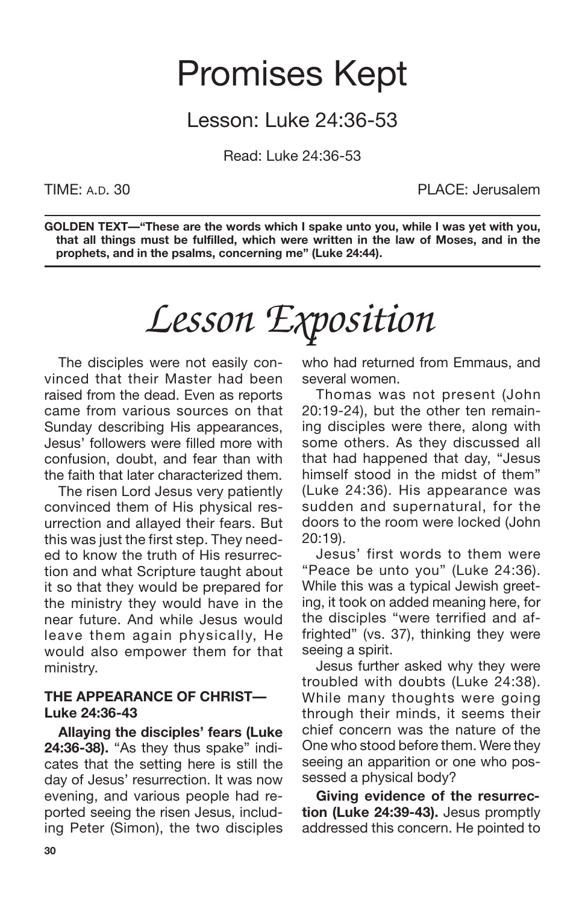## Promises Kept

## Lesson: Luke 24:36-53

Read: Luke 24:36-53

TIME: A.D. 30 PLACE: Jerusalem

**GOLDEN TEXT—"These are the words which I spake unto you, while I was yet with you, that all things must be fulfilled, which were written in the law of Moses, and in the prophets, and in the psalms, concerning me" (Luke 24:44).**

# *Lesson Exposition*

The disciples were not easily convinced that their Master had been raised from the dead. Even as reports came from various sources on that Sunday describing His appearances, Jesus' followers were filled more with confusion, doubt, and fear than with the faith that later characterized them.

The risen Lord Jesus very patiently convinced them of His physical resurrection and allayed their fears. But this was just the first step. They needed to know the truth of His resurrection and what Scripture taught about it so that they would be prepared for the ministry they would have in the near future. And while Jesus would leave them again physically, He would also empower them for that ministry.

### **THE APPEARANCE OF CHRIST— Luke 24:36-43**

**Allaying the disciples' fears (Luke 24:36-38).** "As they thus spake" indicates that the setting here is still the day of Jesus' resurrection. It was now evening, and various people had reported seeing the risen Jesus, including Peter (Simon), the two disciples who had returned from Emmaus, and several women.

Thomas was not present (John 20:19-24), but the other ten remaining disciples were there, along with some others. As they discussed all that had happened that day, "Jesus himself stood in the midst of them" (Luke 24:36). His appearance was sudden and supernatural, for the doors to the room were locked (John 20:19).

Jesus' first words to them were "Peace be unto you" (Luke 24:36). While this was a typical Jewish greeting, it took on added meaning here, for the disciples "were terrified and affrighted" (vs. 37), thinking they were seeing a spirit.

Jesus further asked why they were troubled with doubts (Luke 24:38). While many thoughts were going through their minds, it seems their chief concern was the nature of the One who stood before them. Were they seeing an apparition or one who possessed a physical body?

**Giving evidence of the resurrection (Luke 24:39-43).** Jesus promptly addressed this concern. He pointed to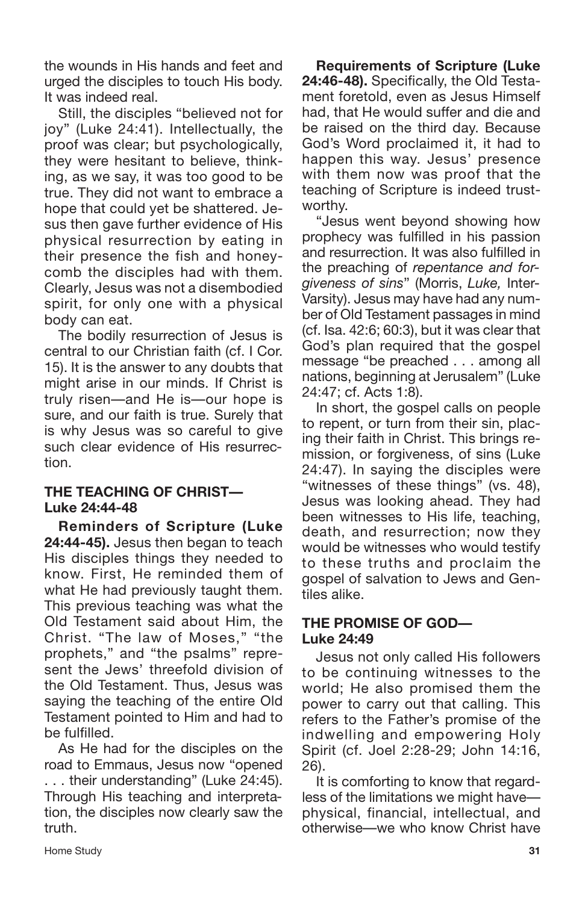the wounds in His hands and feet and urged the disciples to touch His body. It was indeed real.

Still, the disciples "believed not for joy" (Luke 24:41). Intellectually, the proof was clear; but psychologically, they were hesitant to believe, thinking, as we say, it was too good to be true. They did not want to embrace a hope that could yet be shattered. Jesus then gave further evidence of His physical resurrection by eating in their presence the fish and honeycomb the disciples had with them. Clearly, Jesus was not a disembodied spirit, for only one with a physical body can eat.

The bodily resurrection of Jesus is central to our Christian faith (cf. I Cor. 15). It is the answer to any doubts that might arise in our minds. If Christ is truly risen—and He is—our hope is sure, and our faith is true. Surely that is why Jesus was so careful to give such clear evidence of His resurrection.

## **THE TEACHING OF CHRIST— Luke 24:44-48**

**Reminders of Scripture (Luke 24:44-45).** Jesus then began to teach His disciples things they needed to know. First, He reminded them of what He had previously taught them. This previous teaching was what the Old Testament said about Him, the Christ. "The law of Moses," "the prophets," and "the psalms" represent the Jews' threefold division of the Old Testament. Thus, Jesus was saying the teaching of the entire Old Testament pointed to Him and had to be fulfilled.

As He had for the disciples on the road to Emmaus, Jesus now "opened . . . their understanding" (Luke 24:45). Through His teaching and interpretation, the disciples now clearly saw the truth.

**Requirements of Scripture (Luke 24:46-48).** Specifically, the Old Testament foretold, even as Jesus Himself had, that He would suffer and die and be raised on the third day. Because God's Word proclaimed it, it had to happen this way. Jesus' presence with them now was proof that the teaching of Scripture is indeed trustworthy.

"Jesus went beyond showing how prophecy was fulfilled in his passion and resurrection. It was also fulfilled in the preaching of *repentance and forgiveness of sins*" (Morris, *Luke,* Inter-Varsity). Jesus may have had any number of Old Testament passages in mind (cf. Isa. 42:6; 60:3), but it was clear that God's plan required that the gospel message "be preached . . . among all nations, beginning at Jerusalem" (Luke 24:47; cf. Acts 1:8).

In short, the gospel calls on people to repent, or turn from their sin, placing their faith in Christ. This brings remission, or forgiveness, of sins (Luke 24:47). In saying the disciples were "witnesses of these things" (vs. 48), Jesus was looking ahead. They had been witnesses to His life, teaching, death, and resurrection; now they would be witnesses who would testify to these truths and proclaim the gospel of salvation to Jews and Gentiles alike.

## **THE PROMISE OF GOD— Luke 24:49**

Jesus not only called His followers to be continuing witnesses to the world; He also promised them the power to carry out that calling. This refers to the Father's promise of the indwelling and empowering Holy Spirit (cf. Joel 2:28-29; John 14:16, 26).

It is comforting to know that regardless of the limitations we might have physical, financial, intellectual, and otherwise—we who know Christ have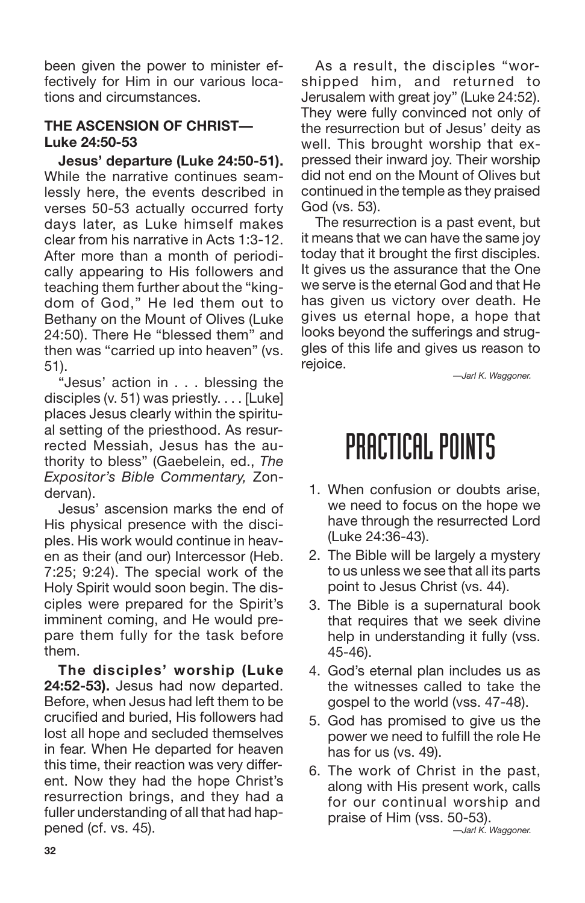been given the power to minister effectively for Him in our various locations and circumstances.

## **THE ASCENSION OF CHRIST— Luke 24:50-53**

**Jesus' departure (Luke 24:50-51).** While the narrative continues seamlessly here, the events described in verses 50-53 actually occurred forty days later, as Luke himself makes clear from his narrative in Acts 1:3-12. After more than a month of periodically appearing to His followers and teaching them further about the "kingdom of God," He led them out to Bethany on the Mount of Olives (Luke 24:50). There He "blessed them" and then was "carried up into heaven" (vs. 51).

"Jesus' action in . . . blessing the disciples (v. 51) was priestly. . . . [Luke] places Jesus clearly within the spiritual setting of the priesthood. As resurrected Messiah, Jesus has the authority to bless" (Gaebelein, ed., *The Expositor's Bible Commentary,* Zondervan).

Jesus' ascension marks the end of His physical presence with the disciples. His work would continue in heaven as their (and our) Intercessor (Heb. 7:25; 9:24). The special work of the Holy Spirit would soon begin. The disciples were prepared for the Spirit's imminent coming, and He would prepare them fully for the task before them.

**The disciples' worship (Luke 24:52-53).** Jesus had now departed. Before, when Jesus had left them to be crucified and buried, His followers had lost all hope and secluded themselves in fear. When He departed for heaven this time, their reaction was very different. Now they had the hope Christ's resurrection brings, and they had a fuller understanding of all that had happened (cf. vs. 45).

As a result, the disciples "worshipped him, and returned to Jerusalem with great joy" (Luke 24:52). They were fully convinced not only of the resurrection but of Jesus' deity as well. This brought worship that expressed their inward joy. Their worship did not end on the Mount of Olives but continued in the temple as they praised God (vs. 53).

The resurrection is a past event, but it means that we can have the same joy today that it brought the first disciples. It gives us the assurance that the One we serve is the eternal God and that He has given us victory over death. He gives us eternal hope, a hope that looks beyond the sufferings and struggles of this life and gives us reason to rejoice.

*—Jarl K. Waggoner.*

# PRACTICAL POINTS

- 1. When confusion or doubts arise, we need to focus on the hope we have through the resurrected Lord (Luke 24:36-43).
- 2. The Bible will be largely a mystery to us unless we see that all its parts point to Jesus Christ (vs. 44).
- 3. The Bible is a supernatural book that requires that we seek divine help in understanding it fully (vss. 45-46).
- 4. God's eternal plan includes us as the witnesses called to take the gospel to the world (vss. 47-48).
- 5. God has promised to give us the power we need to fulfill the role He has for us (vs. 49).
- 6. The work of Christ in the past, along with His present work, calls for our continual worship and praise of Him (vss. 50-53). *—Jarl K. Waggoner.*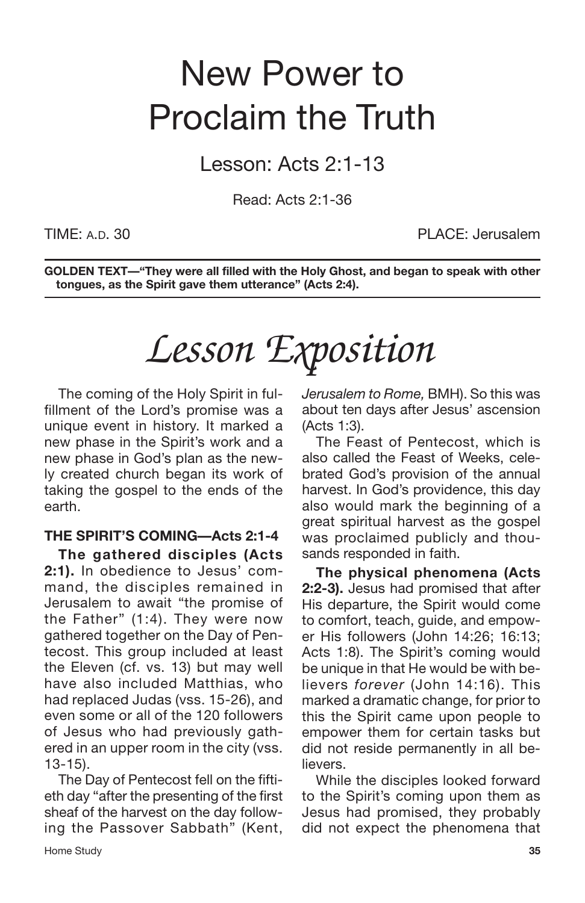# New Power to Proclaim the Truth

Lesson: Acts 2:1-13

Read: Acts 2:1-36

TIME: A.D. 30 PLACE: Jerusalem

**GOLDEN TEXT—"They were all filled with the Holy Ghost, and began to speak with other tongues, as the Spirit gave them utterance" (Acts 2:4).**

# *Lesson Exposition*

The coming of the Holy Spirit in fulfillment of the Lord's promise was a unique event in history. It marked a new phase in the Spirit's work and a new phase in God's plan as the newly created church began its work of taking the gospel to the ends of the earth.

## **THE SPIRIT'S COMING—Acts 2:1-4**

**The gathered disciples (Acts 2:1).** In obedience to Jesus' command, the disciples remained in Jerusalem to await "the promise of the Father" (1:4). They were now gathered together on the Day of Pentecost. This group included at least the Eleven (cf. vs. 13) but may well have also included Matthias, who had replaced Judas (vss. 15-26), and even some or all of the 120 followers of Jesus who had previously gathered in an upper room in the city (vss. 13-15).

The Day of Pentecost fell on the fiftieth day "after the presenting of the first sheaf of the harvest on the day following the Passover Sabbath" (Kent,

Home Study **35**

*Jerusalem to Rome,* BMH). So this was about ten days after Jesus' ascension (Acts 1:3).

The Feast of Pentecost, which is also called the Feast of Weeks, celebrated God's provision of the annual harvest. In God's providence, this day also would mark the beginning of a great spiritual harvest as the gospel was proclaimed publicly and thousands responded in faith.

**The physical phenomena (Acts 2:2-3).** Jesus had promised that after His departure, the Spirit would come to comfort, teach, guide, and empower His followers (John 14:26; 16:13; Acts 1:8). The Spirit's coming would be unique in that He would be with believers *forever* (John 14:16). This marked a dramatic change, for prior to this the Spirit came upon people to empower them for certain tasks but did not reside permanently in all believers.

While the disciples looked forward to the Spirit's coming upon them as Jesus had promised, they probably did not expect the phenomena that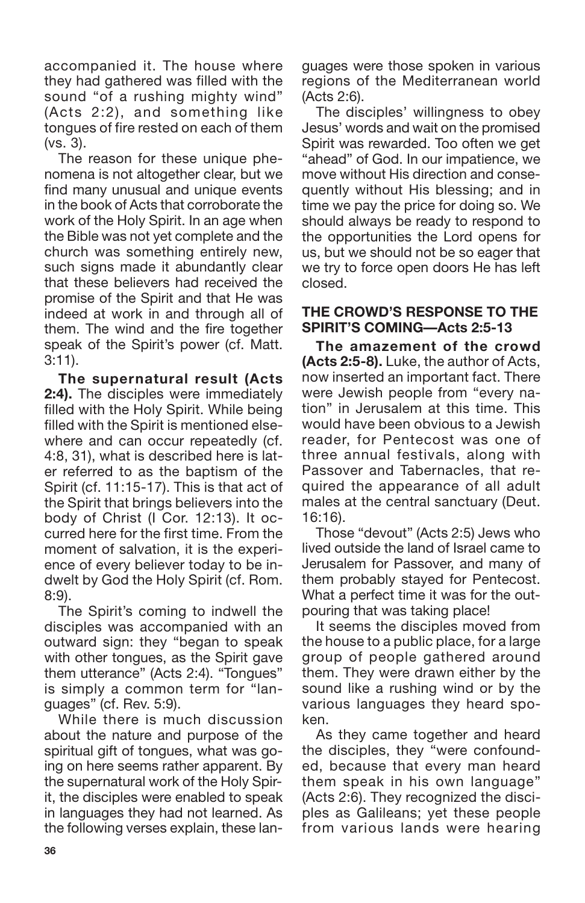accompanied it. The house where they had gathered was filled with the sound "of a rushing mighty wind" (Acts 2:2), and something like tongues of fire rested on each of them (vs. 3).

The reason for these unique phenomena is not altogether clear, but we find many unusual and unique events in the book of Acts that corroborate the work of the Holy Spirit. In an age when the Bible was not yet complete and the church was something entirely new, such signs made it abundantly clear that these believers had received the promise of the Spirit and that He was indeed at work in and through all of them. The wind and the fire together speak of the Spirit's power (cf. Matt. 3:11).

**The supernatural result (Acts 2:4).** The disciples were immediately filled with the Holy Spirit. While being filled with the Spirit is mentioned elsewhere and can occur repeatedly (cf. 4:8, 31), what is described here is later referred to as the baptism of the Spirit (cf. 11:15-17). This is that act of the Spirit that brings believers into the body of Christ (I Cor. 12:13). It occurred here for the first time. From the moment of salvation, it is the experience of every believer today to be indwelt by God the Holy Spirit (cf. Rom. 8:9).

The Spirit's coming to indwell the disciples was accompanied with an outward sign: they "began to speak with other tongues, as the Spirit gave them utterance" (Acts 2:4). "Tongues" is simply a common term for "languages" (cf. Rev. 5:9).

While there is much discussion about the nature and purpose of the spiritual gift of tongues, what was going on here seems rather apparent. By the supernatural work of the Holy Spirit, the disciples were enabled to speak in languages they had not learned. As the following verses explain, these languages were those spoken in various regions of the Mediterranean world (Acts 2:6).

The disciples' willingness to obey Jesus' words and wait on the promised Spirit was rewarded. Too often we get "ahead" of God. In our impatience, we move without His direction and consequently without His blessing; and in time we pay the price for doing so. We should always be ready to respond to the opportunities the Lord opens for us, but we should not be so eager that we try to force open doors He has left closed.

### **THE CROWD'S RESPONSE TO THE SPIRIT'S COMING—Acts 2:5-13**

**The amazement of the crowd (Acts 2:5-8).** Luke, the author of Acts, now inserted an important fact. There were Jewish people from "every nation" in Jerusalem at this time. This would have been obvious to a Jewish reader, for Pentecost was one of three annual festivals, along with Passover and Tabernacles, that required the appearance of all adult males at the central sanctuary (Deut. 16:16).

Those "devout" (Acts 2:5) Jews who lived outside the land of Israel came to Jerusalem for Passover, and many of them probably stayed for Pentecost. What a perfect time it was for the outpouring that was taking place!

It seems the disciples moved from the house to a public place, for a large group of people gathered around them. They were drawn either by the sound like a rushing wind or by the various languages they heard spoken.

As they came together and heard the disciples, they "were confounded, because that every man heard them speak in his own language" (Acts 2:6). They recognized the disciples as Galileans; yet these people from various lands were hearing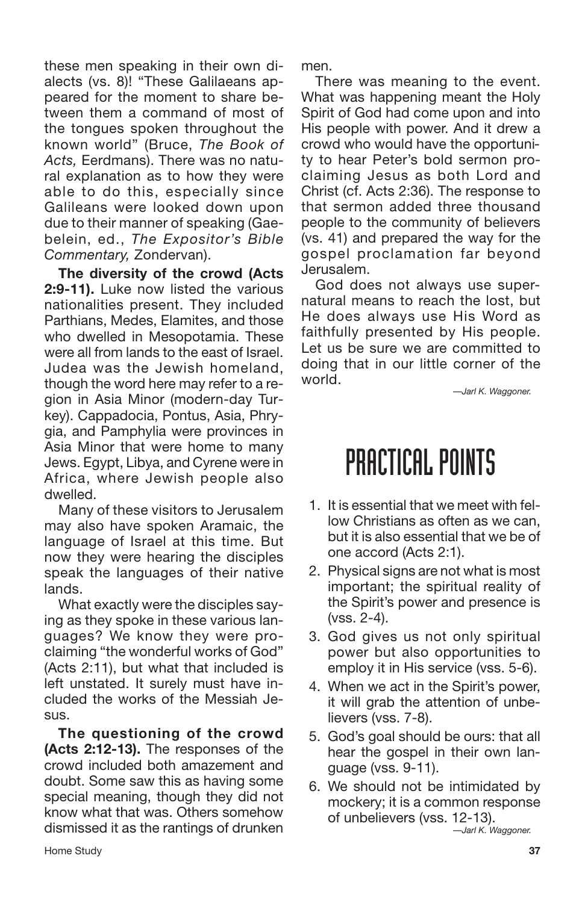these men speaking in their own dialects (vs. 8)! "These Galilaeans appeared for the moment to share between them a command of most of the tongues spoken throughout the known world" (Bruce, *The Book of Acts,* Eerdmans). There was no natural explanation as to how they were able to do this, especially since Galileans were looked down upon due to their manner of speaking (Gaebelein, ed., *The Expositor's Bible Commentary,* Zondervan).

**The diversity of the crowd (Acts 2:9-11).** Luke now listed the various nationalities present. They included Parthians, Medes, Elamites, and those who dwelled in Mesopotamia. These were all from lands to the east of Israel. Judea was the Jewish homeland, though the word here may refer to a region in Asia Minor (modern-day Turkey). Cappadocia, Pontus, Asia, Phrygia, and Pamphylia were provinces in Asia Minor that were home to many Jews. Egypt, Libya, and Cyrene were in Africa, where Jewish people also dwelled.

Many of these visitors to Jerusalem may also have spoken Aramaic, the language of Israel at this time. But now they were hearing the disciples speak the languages of their native lands.

What exactly were the disciples saying as they spoke in these various languages? We know they were proclaiming "the wonderful works of God" (Acts 2:11), but what that included is left unstated. It surely must have included the works of the Messiah Jesus.

**The questioning of the crowd (Acts 2:12-13).** The responses of the crowd included both amazement and doubt. Some saw this as having some special meaning, though they did not know what that was. Others somehow dismissed it as the rantings of drunken men.

There was meaning to the event. What was happening meant the Holy Spirit of God had come upon and into His people with power. And it drew a crowd who would have the opportunity to hear Peter's bold sermon proclaiming Jesus as both Lord and Christ (cf. Acts 2:36). The response to that sermon added three thousand people to the community of believers (vs. 41) and prepared the way for the gospel proclamation far beyond Jerusalem.

God does not always use supernatural means to reach the lost, but He does always use His Word as faithfully presented by His people. Let us be sure we are committed to doing that in our little corner of the world.

*—Jarl K. Waggoner.*

## PRACTICAL POINTS

- 1. It is essential that we meet with fellow Christians as often as we can, but it is also essential that we be of one accord (Acts 2:1).
- 2. Physical signs are not what is most important; the spiritual reality of the Spirit's power and presence is (vss. 2-4).
- 3. God gives us not only spiritual power but also opportunities to employ it in His service (vss. 5-6).
- 4. When we act in the Spirit's power, it will grab the attention of unbelievers (vss. 7-8).
- 5. God's goal should be ours: that all hear the gospel in their own language (vss. 9-11).
- 6. We should not be intimidated by mockery; it is a common response of unbelievers (vss. 12-13). *—Jarl K. Waggoner.*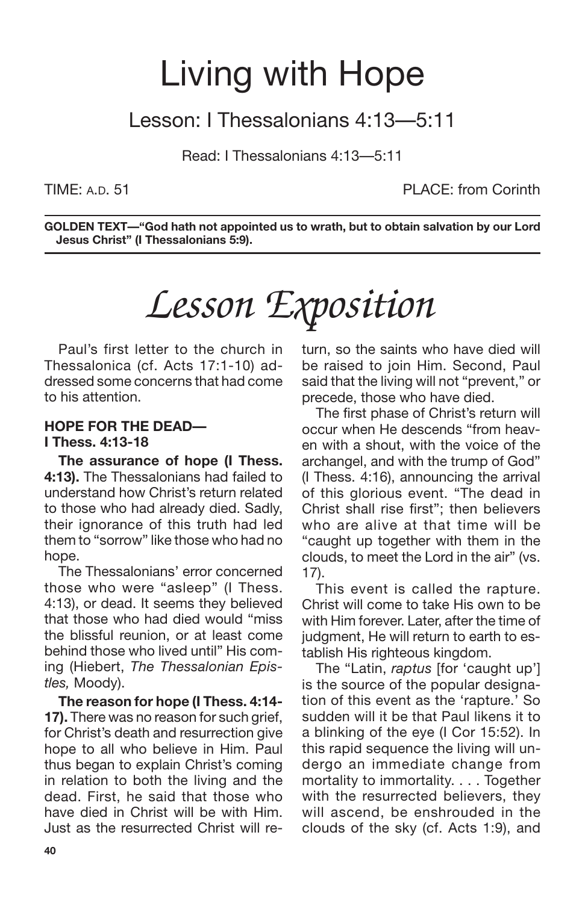## Living with Hope

## Lesson: I Thessalonians 4:13—5:11

Read: I Thessalonians 4:13—5:11

TIME: A.D. 51 PLACE: from Corinth

**GOLDEN TEXT—"God hath not appointed us to wrath, but to obtain salvation by our Lord Jesus Christ" (I Thessalonians 5:9).**

# *Lesson Exposition*

Paul's first letter to the church in Thessalonica (cf. Acts 17:1-10) addressed some concerns that had come to his attention.

### **HOPE FOR THE DEAD— I Thess. 4:13-18**

**The assurance of hope (I Thess. 4:13).** The Thessalonians had failed to understand how Christ's return related to those who had already died. Sadly, their ignorance of this truth had led them to "sorrow" like those who had no hope.

The Thessalonians' error concerned those who were "asleep" (I Thess. 4:13), or dead. It seems they believed that those who had died would "miss the blissful reunion, or at least come behind those who lived until" His coming (Hiebert, *The Thessalonian Epistles,* Moody).

**The reason for hope (I Thess. 4:14- 17).** There was no reason for such grief, for Christ's death and resurrection give hope to all who believe in Him. Paul thus began to explain Christ's coming in relation to both the living and the dead. First, he said that those who have died in Christ will be with Him. Just as the resurrected Christ will return, so the saints who have died will be raised to join Him. Second, Paul said that the living will not "prevent," or precede, those who have died.

The first phase of Christ's return will occur when He descends "from heaven with a shout, with the voice of the archangel, and with the trump of God" (I Thess. 4:16), announcing the arrival of this glorious event. "The dead in Christ shall rise first"; then believers who are alive at that time will be "caught up together with them in the clouds, to meet the Lord in the air" (vs. 17).

This event is called the rapture. Christ will come to take His own to be with Him forever. Later, after the time of judgment. He will return to earth to establish His righteous kingdom.

The "Latin, *raptus* [for 'caught up'] is the source of the popular designation of this event as the 'rapture.' So sudden will it be that Paul likens it to a blinking of the eye (I Cor 15:52). In this rapid sequence the living will undergo an immediate change from mortality to immortality. . . . Together with the resurrected believers, they will ascend, be enshrouded in the clouds of the sky (cf. Acts 1:9), and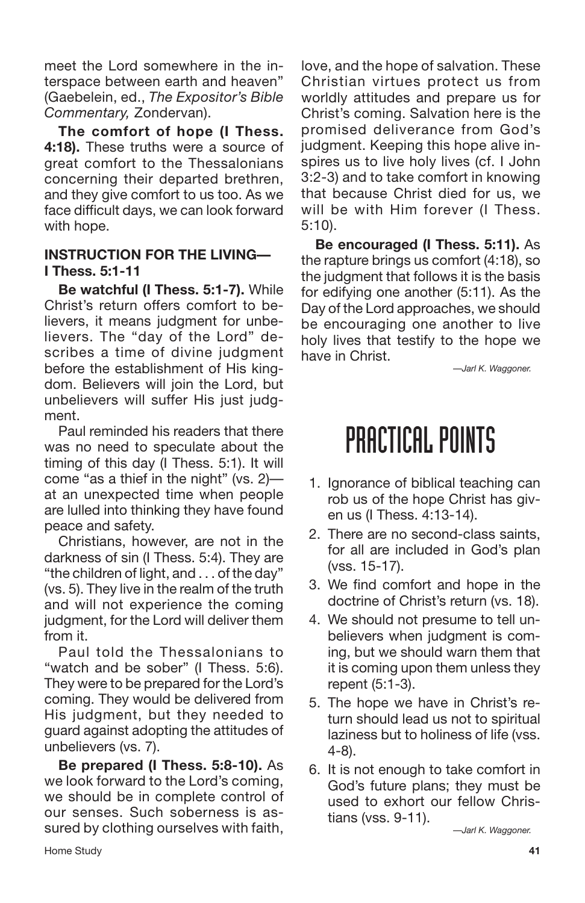meet the Lord somewhere in the interspace between earth and heaven" (Gaebelein, ed., *The Expositor's Bible Commentary,* Zondervan).

**The comfort of hope (I Thess. 4:18).** These truths were a source of great comfort to the Thessalonians concerning their departed brethren, and they give comfort to us too. As we face difficult days, we can look forward with hope.

### **INSTRUCTION FOR THE LIVING— I Thess. 5:1-11**

**Be watchful (I Thess. 5:1-7).** While Christ's return offers comfort to believers, it means judgment for unbelievers. The "day of the Lord" describes a time of divine judgment before the establishment of His kingdom. Believers will join the Lord, but unbelievers will suffer His just judgment.

Paul reminded his readers that there was no need to speculate about the timing of this day (I Thess. 5:1). It will come "as a thief in the night" (vs. 2) at an unexpected time when people are lulled into thinking they have found peace and safety.

Christians, however, are not in the darkness of sin (I Thess. 5:4). They are "the children of light, and . . . of the day" (vs. 5). They live in the realm of the truth and will not experience the coming judgment, for the Lord will deliver them from it.

Paul told the Thessalonians to "watch and be sober" (I Thess. 5:6). They were to be prepared for the Lord's coming. They would be delivered from His judgment, but they needed to guard against adopting the attitudes of unbelievers (vs. 7).

**Be prepared (I Thess. 5:8-10).** As we look forward to the Lord's coming, we should be in complete control of our senses. Such soberness is assured by clothing ourselves with faith,

love, and the hope of salvation. These Christian virtues protect us from worldly attitudes and prepare us for Christ's coming. Salvation here is the promised deliverance from God's judgment. Keeping this hope alive inspires us to live holy lives (cf. I John 3:2-3) and to take comfort in knowing that because Christ died for us, we will be with Him forever (I Thess. 5:10).

**Be encouraged (I Thess. 5:11).** As the rapture brings us comfort (4:18), so the judgment that follows it is the basis for edifying one another (5:11). As the Day of the Lord approaches, we should be encouraging one another to live holy lives that testify to the hope we have in Christ.

*—Jarl K. Waggoner.*

## PRACTICAL POINTS

- 1. Ignorance of biblical teaching can rob us of the hope Christ has given us (I Thess. 4:13-14).
- 2. There are no second-class saints, for all are included in God's plan (vss. 15-17).
- 3. We find comfort and hope in the doctrine of Christ's return (vs. 18).
- 4. We should not presume to tell unbelievers when judgment is coming, but we should warn them that it is coming upon them unless they repent (5:1-3).
- 5. The hope we have in Christ's return should lead us not to spiritual laziness but to holiness of life (vss. 4-8).
- 6. It is not enough to take comfort in God's future plans; they must be used to exhort our fellow Christians (vss. 9-11).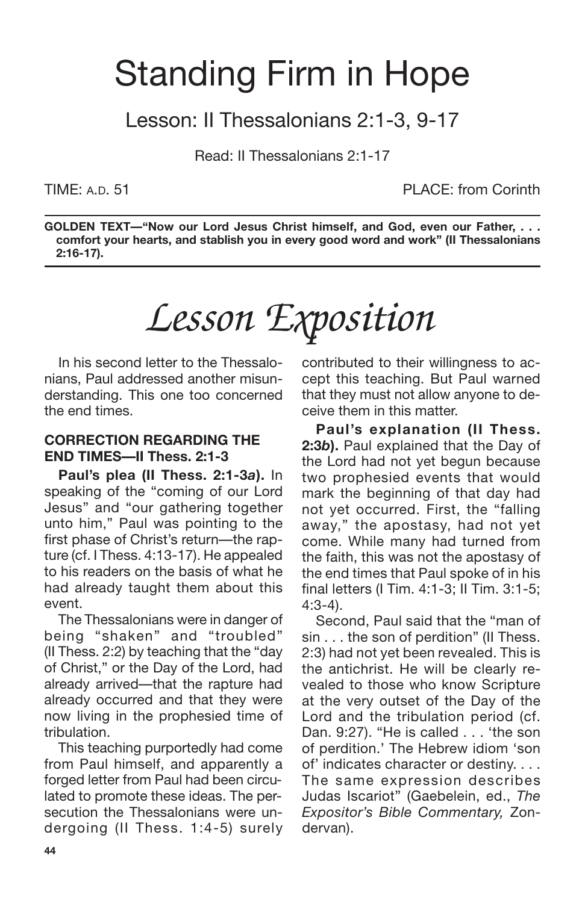# Standing Firm in Hope

Lesson: II Thessalonians 2:1-3, 9-17

Read: II Thessalonians 2:1-17

TIME: A.D. 51 PLACE: from Corinth

**GOLDEN TEXT—"Now our Lord Jesus Christ himself, and God, even our Father, . . . comfort your hearts, and stablish you in every good word and work" (II Thessalonians 2:16-17).**

# *Lesson Exposition*

In his second letter to the Thessalonians, Paul addressed another misunderstanding. This one too concerned the end times.

### **CORRECTION REGARDING THE END TIMES—II Thess. 2:1-3**

**Paul's plea (II Thess. 2:1-3***a***).** In speaking of the "coming of our Lord Jesus" and "our gathering together unto him," Paul was pointing to the first phase of Christ's return—the rapture (cf. I Thess. 4:13-17). He appealed to his readers on the basis of what he had already taught them about this event.

The Thessalonians were in danger of being "shaken" and "troubled" (II Thess. 2:2) by teaching that the "day of Christ," or the Day of the Lord, had already arrived—that the rapture had already occurred and that they were now living in the prophesied time of tribulation.

This teaching purportedly had come from Paul himself, and apparently a forged letter from Paul had been circulated to promote these ideas. The persecution the Thessalonians were undergoing (II Thess. 1:4-5) surely contributed to their willingness to accept this teaching. But Paul warned that they must not allow anyone to deceive them in this matter.

**Paul's explanation (II Thess. 2:3***b***).** Paul explained that the Day of the Lord had not yet begun because two prophesied events that would mark the beginning of that day had not yet occurred. First, the "falling away," the apostasy, had not yet come. While many had turned from the faith, this was not the apostasy of the end times that Paul spoke of in his final letters (I Tim. 4:1-3; II Tim. 3:1-5; 4:3-4).

Second, Paul said that the "man of sin . . . the son of perdition" (II Thess. 2:3) had not yet been revealed. This is the antichrist. He will be clearly revealed to those who know Scripture at the very outset of the Day of the Lord and the tribulation period (cf. Dan. 9:27). "He is called . . . 'the son of perdition.' The Hebrew idiom 'son of' indicates character or destiny. . . . The same expression describes Judas Iscariot" (Gaebelein, ed., *The Expositor's Bible Commentary,* Zondervan).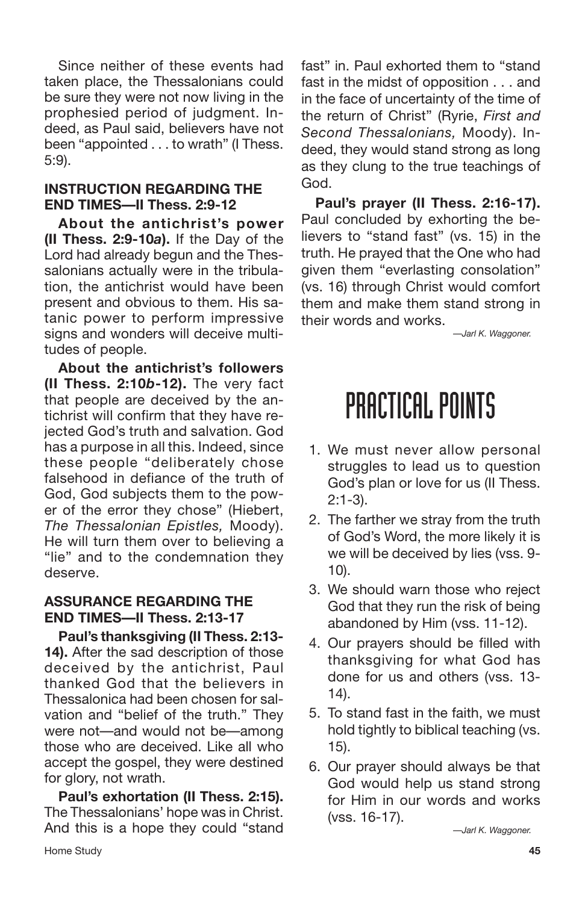Since neither of these events had taken place, the Thessalonians could be sure they were not now living in the prophesied period of judgment. Indeed, as Paul said, believers have not been "appointed . . . to wrath" (I Thess. 5:9).

## **INSTRUCTION REGARDING THE END TIMES—II Thess. 2:9-12**

**About the antichrist's power (II Thess. 2:9-10***a***).** If the Day of the Lord had already begun and the Thessalonians actually were in the tribulation, the antichrist would have been present and obvious to them. His satanic power to perform impressive signs and wonders will deceive multitudes of people.

**About the antichrist's followers (II Thess. 2:10***b***-12).** The very fact that people are deceived by the antichrist will confirm that they have rejected God's truth and salvation. God has a purpose in all this. Indeed, since these people "deliberately chose falsehood in defiance of the truth of God, God subjects them to the power of the error they chose" (Hiebert, *The Thessalonian Epistles,* Moody). He will turn them over to believing a "lie" and to the condemnation they deserve.

## **ASSURANCE REGARDING THE END TIMES—II Thess. 2:13-17**

**Paul's thanksgiving (II Thess. 2:13- 14).** After the sad description of those deceived by the antichrist, Paul thanked God that the believers in Thessalonica had been chosen for salvation and "belief of the truth." They were not—and would not be—among those who are deceived. Like all who accept the gospel, they were destined for glory, not wrath.

**Paul's exhortation (II Thess. 2:15).** The Thessalonians' hope was in Christ. And this is a hope they could "stand fast" in. Paul exhorted them to "stand fast in the midst of opposition . . . and in the face of uncertainty of the time of the return of Christ" (Ryrie, *First and Second Thessalonians,* Moody). Indeed, they would stand strong as long as they clung to the true teachings of God.

**Paul's prayer (II Thess. 2:16-17).** Paul concluded by exhorting the believers to "stand fast" (vs. 15) in the truth. He prayed that the One who had given them "everlasting consolation" (vs. 16) through Christ would comfort them and make them stand strong in their words and works.

*—Jarl K. Waggoner.*

## PRACTICAL POINTS

- 1. We must never allow personal struggles to lead us to question God's plan or love for us (II Thess. 2:1-3).
- 2. The farther we stray from the truth of God's Word, the more likely it is we will be deceived by lies (vss. 9- 10).
- 3. We should warn those who reject God that they run the risk of being abandoned by Him (vss. 11-12).
- 4. Our prayers should be filled with thanksgiving for what God has done for us and others (vss. 13- 14).
- 5. To stand fast in the faith, we must hold tightly to biblical teaching (vs. 15).
- 6. Our prayer should always be that God would help us stand strong for Him in our words and works (vss. 16-17).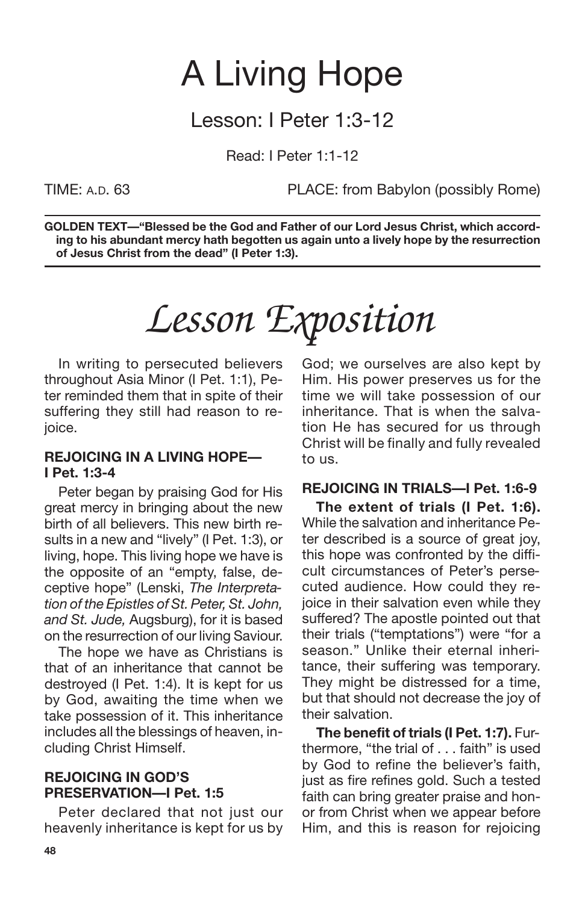## A Living Hope

## Lesson: I Peter 1:3-12

Read: I Peter 1:1-12

TIME: A.D. 63 PLACE: from Babylon (possibly Rome)

**GOLDEN TEXT—"Blessed be the God and Father of our Lord Jesus Christ, which according to his abundant mercy hath begotten us again unto a lively hope by the resurrection of Jesus Christ from the dead" (I Peter 1:3).**

# *Lesson Exposition*

In writing to persecuted believers throughout Asia Minor (I Pet. 1:1), Peter reminded them that in spite of their suffering they still had reason to rejoice.

### **REJOICING IN A LIVING HOPE— I Pet. 1:3-4**

Peter began by praising God for His great mercy in bringing about the new birth of all believers. This new birth results in a new and "lively" (I Pet. 1:3), or living, hope. This living hope we have is the opposite of an "empty, false, deceptive hope" (Lenski, *The Interpretation of the Epistles of St. Peter, St. John, and St. Jude,* Augsburg), for it is based on the resurrection of our living Saviour.

The hope we have as Christians is that of an inheritance that cannot be destroyed (I Pet. 1:4). It is kept for us by God, awaiting the time when we take possession of it. This inheritance includes all the blessings of heaven, including Christ Himself.

### **REJOICING IN GOD'S PRESERVATION—I Pet. 1:5**

Peter declared that not just our heavenly inheritance is kept for us by God; we ourselves are also kept by Him. His power preserves us for the time we will take possession of our inheritance. That is when the salvation He has secured for us through Christ will be finally and fully revealed to us.

## **REJOICING IN TRIALS—I Pet. 1:6-9**

**The extent of trials (I Pet. 1:6).** While the salvation and inheritance Peter described is a source of great joy, this hope was confronted by the difficult circumstances of Peter's persecuted audience. How could they rejoice in their salvation even while they suffered? The apostle pointed out that their trials ("temptations") were "for a season." Unlike their eternal inheritance, their suffering was temporary. They might be distressed for a time, but that should not decrease the joy of their salvation.

**The benefit of trials (I Pet. 1:7).** Furthermore, "the trial of . . . faith" is used by God to refine the believer's faith, just as fire refines gold. Such a tested faith can bring greater praise and honor from Christ when we appear before Him, and this is reason for rejoicing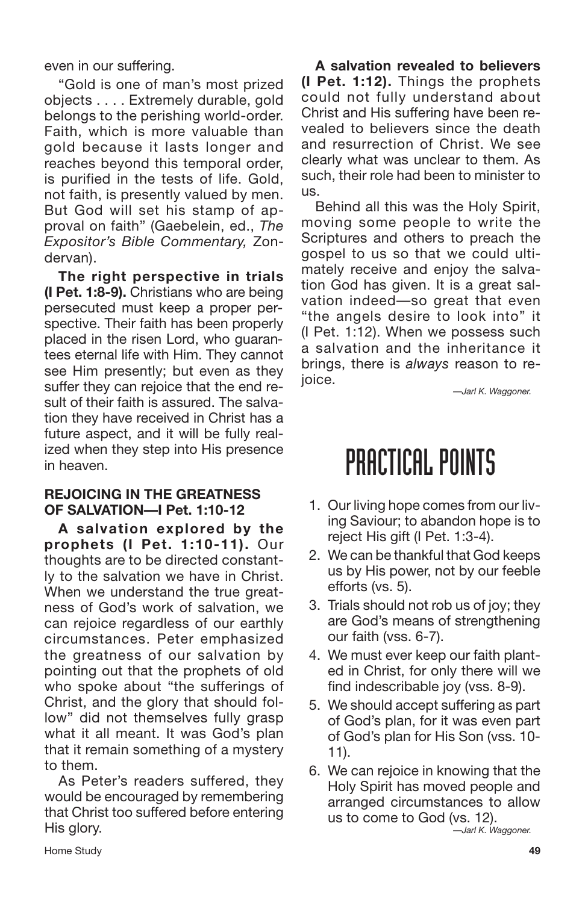even in our suffering.

"Gold is one of man's most prized objects . . . . Extremely durable, gold belongs to the perishing world-order. Faith, which is more valuable than gold because it lasts longer and reaches beyond this temporal order, is purified in the tests of life. Gold, not faith, is presently valued by men. But God will set his stamp of approval on faith" (Gaebelein, ed., *The Expositor's Bible Commentary,* Zondervan).

**The right perspective in trials (I Pet. 1:8-9).** Christians who are being persecuted must keep a proper perspective. Their faith has been properly placed in the risen Lord, who guarantees eternal life with Him. They cannot see Him presently; but even as they suffer they can rejoice that the end result of their faith is assured. The salvation they have received in Christ has a future aspect, and it will be fully realized when they step into His presence in heaven.

### **REJOICING IN THE GREATNESS OF SALVATION—I Pet. 1:10-12**

**A salvation explored by the prophets (I Pet. 1:10-11).** Our thoughts are to be directed constantly to the salvation we have in Christ. When we understand the true greatness of God's work of salvation, we can rejoice regardless of our earthly circumstances. Peter emphasized the greatness of our salvation by pointing out that the prophets of old who spoke about "the sufferings of Christ, and the glory that should follow" did not themselves fully grasp what it all meant. It was God's plan that it remain something of a mystery to them.

As Peter's readers suffered, they would be encouraged by remembering that Christ too suffered before entering His glory.

**A salvation revealed to believers (I Pet. 1:12).** Things the prophets could not fully understand about Christ and His suffering have been revealed to believers since the death and resurrection of Christ. We see clearly what was unclear to them. As such, their role had been to minister to us.

Behind all this was the Holy Spirit, moving some people to write the Scriptures and others to preach the gospel to us so that we could ultimately receive and enjoy the salvation God has given. It is a great salvation indeed—so great that even "the angels desire to look into" it (I Pet. 1:12). When we possess such a salvation and the inheritance it brings, there is *always* reason to reioice.

*—Jarl K. Waggoner.*

## PRACTICAL POINTS

- 1. Our living hope comes from our living Saviour; to abandon hope is to reject His gift (I Pet. 1:3-4).
- 2. We can be thankful that God keeps us by His power, not by our feeble efforts (vs. 5).
- 3. Trials should not rob us of joy; they are God's means of strengthening our faith (vss. 6-7).
- 4. We must ever keep our faith planted in Christ, for only there will we find indescribable joy (vss. 8-9).
- 5. We should accept suffering as part of God's plan, for it was even part of God's plan for His Son (vss. 10- 11).
- 6. We can rejoice in knowing that the Holy Spirit has moved people and arranged circumstances to allow us to come to God (vs. 12). *—Jarl K. Waggoner.*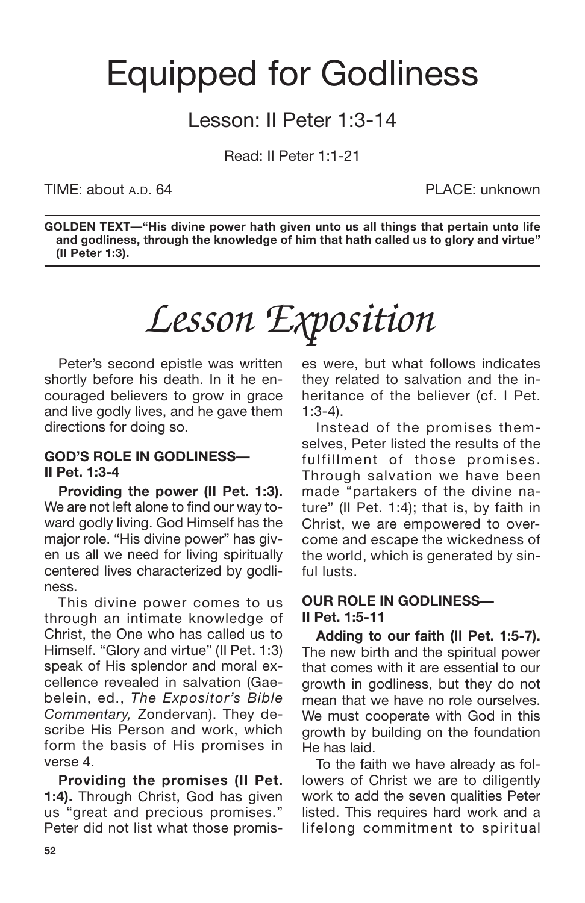## Equipped for Godliness

## Lesson: II Peter 1:3-14

Read: II Peter 1:1-21

TIME: about A.D. 64 PLACE: unknown

**GOLDEN TEXT—"His divine power hath given unto us all things that pertain unto life and godliness, through the knowledge of him that hath called us to glory and virtue" (II Peter 1:3).**

# *Lesson Exposition*

Peter's second epistle was written shortly before his death. In it he encouraged believers to grow in grace and live godly lives, and he gave them directions for doing so.

### **GOD'S ROLE IN GODLINESS— II Pet. 1:3-4**

**Providing the power (II Pet. 1:3).** We are not left alone to find our way toward godly living. God Himself has the major role. "His divine power" has given us all we need for living spiritually centered lives characterized by godliness.

This divine power comes to us through an intimate knowledge of Christ, the One who has called us to Himself. "Glory and virtue" (II Pet. 1:3) speak of His splendor and moral excellence revealed in salvation (Gaebelein, ed., *The Expositor's Bible Commentary,* Zondervan). They describe His Person and work, which form the basis of His promises in verse 4.

**Providing the promises (II Pet. 1:4).** Through Christ, God has given us "great and precious promises." Peter did not list what those promises were, but what follows indicates they related to salvation and the inheritance of the believer (cf. I Pet. 1:3-4).

Instead of the promises themselves, Peter listed the results of the fulfillment of those promises. Through salvation we have been made "partakers of the divine nature" (II Pet. 1:4); that is, by faith in Christ, we are empowered to overcome and escape the wickedness of the world, which is generated by sinful lusts.

### **OUR ROLE IN GODLINESS— II Pet. 1:5-11**

**Adding to our faith (II Pet. 1:5-7).** The new birth and the spiritual power that comes with it are essential to our growth in godliness, but they do not mean that we have no role ourselves. We must cooperate with God in this growth by building on the foundation He has laid.

To the faith we have already as followers of Christ we are to diligently work to add the seven qualities Peter listed. This requires hard work and a lifelong commitment to spiritual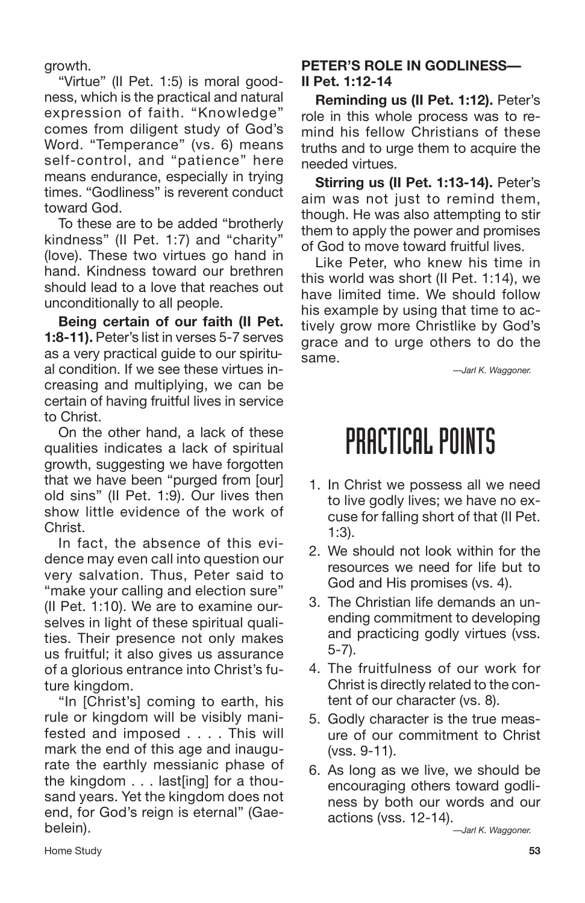growth.

"Virtue" (II Pet. 1:5) is moral goodness, which is the practical and natural expression of faith. "Knowledge" comes from diligent study of God's Word. "Temperance" (vs. 6) means self-control, and "patience" here means endurance, especially in trying times. "Godliness" is reverent conduct toward God.

To these are to be added "brotherly kindness" (II Pet. 1:7) and "charity" (love). These two virtues go hand in hand. Kindness toward our brethren should lead to a love that reaches out unconditionally to all people.

**Being certain of our faith (II Pet. 1:8-11).** Peter's list in verses 5-7 serves as a very practical guide to our spiritual condition. If we see these virtues increasing and multiplying, we can be certain of having fruitful lives in service to Christ.

On the other hand, a lack of these qualities indicates a lack of spiritual growth, suggesting we have forgotten that we have been "purged from [our] old sins" (II Pet. 1:9). Our lives then show little evidence of the work of Christ.

In fact, the absence of this evidence may even call into question our very salvation. Thus, Peter said to "make your calling and election sure" (II Pet. 1:10). We are to examine ourselves in light of these spiritual qualities. Their presence not only makes us fruitful; it also gives us assurance of a glorious entrance into Christ's future kingdom.

"In [Christ's] coming to earth, his rule or kingdom will be visibly manifested and imposed . . . . This will mark the end of this age and inaugurate the earthly messianic phase of the kingdom . . . last[ing] for a thousand years. Yet the kingdom does not end, for God's reign is eternal" (Gaebelein).

## **PETER'S ROLE IN GODLINESS— II Pet. 1:12-14**

**Reminding us (II Pet. 1:12).** Peter's role in this whole process was to remind his fellow Christians of these truths and to urge them to acquire the needed virtues.

**Stirring us (II Pet. 1:13-14).** Peter's aim was not just to remind them, though. He was also attempting to stir them to apply the power and promises of God to move toward fruitful lives.

Like Peter, who knew his time in this world was short (II Pet. 1:14), we have limited time. We should follow his example by using that time to actively grow more Christlike by God's grace and to urge others to do the same.

*—Jarl K. Waggoner.*

## PRACTICAL POINTS

- 1. In Christ we possess all we need to live godly lives; we have no excuse for falling short of that (II Pet. 1:3).
- 2. We should not look within for the resources we need for life but to God and His promises (vs. 4).
- 3. The Christian life demands an unending commitment to developing and practicing godly virtues (vss. 5-7).
- 4. The fruitfulness of our work for Christ is directly related to the content of our character (vs. 8).
- 5. Godly character is the true measure of our commitment to Christ (vss. 9-11).
- 6. As long as we live, we should be encouraging others toward godliness by both our words and our actions (vss. 12-14).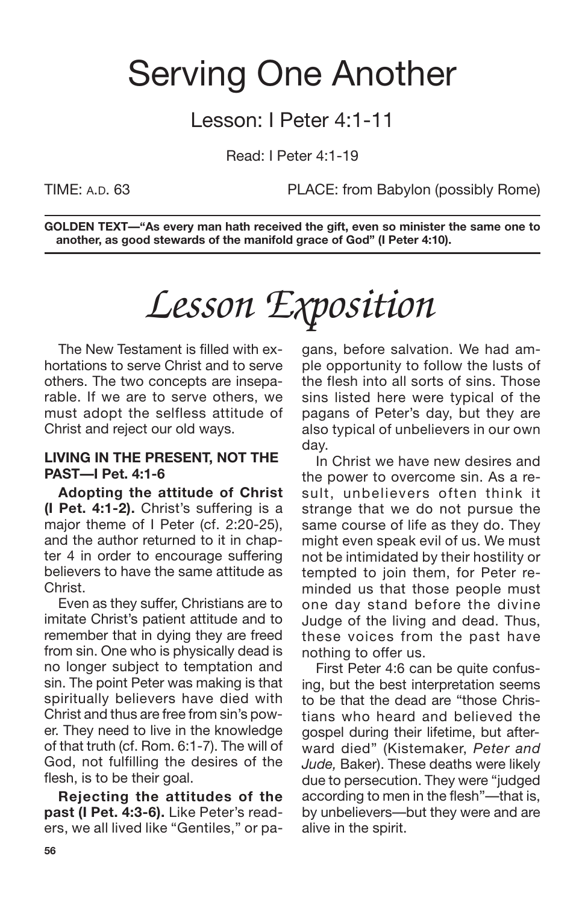## Serving One Another

## Lesson: I Peter 4:1-11

Read: I Peter 4:1-19

TIME: A.D. 63 PLACE: from Babylon (possibly Rome)

**GOLDEN TEXT—"As every man hath received the gift, even so minister the same one to another, as good stewards of the manifold grace of God" (I Peter 4:10).**

# *Lesson Exposition*

The New Testament is filled with exhortations to serve Christ and to serve others. The two concepts are inseparable. If we are to serve others, we must adopt the selfless attitude of Christ and reject our old ways.

### **LIVING IN THE PRESENT, NOT THE PAST—I Pet. 4:1-6**

**Adopting the attitude of Christ (I Pet. 4:1-2).** Christ's suffering is a major theme of I Peter (cf. 2:20-25), and the author returned to it in chapter 4 in order to encourage suffering believers to have the same attitude as Christ.

Even as they suffer, Christians are to imitate Christ's patient attitude and to remember that in dying they are freed from sin. One who is physically dead is no longer subject to temptation and sin. The point Peter was making is that spiritually believers have died with Christ and thus are free from sin's power. They need to live in the knowledge of that truth (cf. Rom. 6:1-7). The will of God, not fulfilling the desires of the flesh, is to be their goal.

**Rejecting the attitudes of the past (I Pet. 4:3-6).** Like Peter's readers, we all lived like "Gentiles," or pagans, before salvation. We had ample opportunity to follow the lusts of the flesh into all sorts of sins. Those sins listed here were typical of the pagans of Peter's day, but they are also typical of unbelievers in our own day.

In Christ we have new desires and the power to overcome sin. As a result, unbelievers often think it strange that we do not pursue the same course of life as they do. They might even speak evil of us. We must not be intimidated by their hostility or tempted to join them, for Peter reminded us that those people must one day stand before the divine Judge of the living and dead. Thus, these voices from the past have nothing to offer us.

First Peter 4:6 can be quite confusing, but the best interpretation seems to be that the dead are "those Christians who heard and believed the gospel during their lifetime, but afterward died" (Kistemaker, *Peter and Jude,* Baker). These deaths were likely due to persecution. They were "judged according to men in the flesh"—that is, by unbelievers—but they were and are alive in the spirit.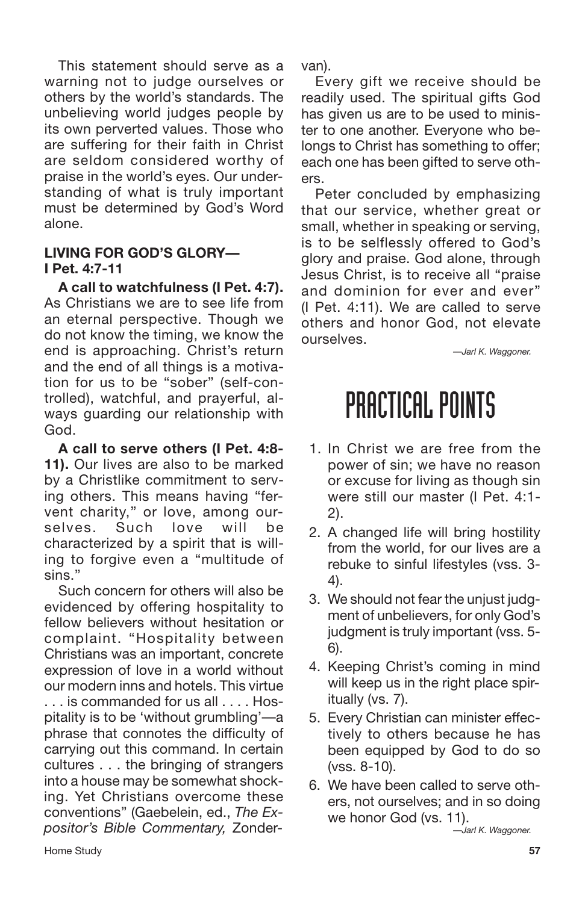This statement should serve as a warning not to judge ourselves or others by the world's standards. The unbelieving world judges people by its own perverted values. Those who are suffering for their faith in Christ are seldom considered worthy of praise in the world's eyes. Our understanding of what is truly important must be determined by God's Word alone.

### **LIVING FOR GOD'S GLORY— I Pet. 4:7-11**

**A call to watchfulness (I Pet. 4:7).** As Christians we are to see life from an eternal perspective. Though we do not know the timing, we know the end is approaching. Christ's return and the end of all things is a motivation for us to be "sober" (self-controlled), watchful, and prayerful, always guarding our relationship with God.

**A call to serve others (I Pet. 4:8- 11).** Our lives are also to be marked by a Christlike commitment to serving others. This means having "fervent charity," or love, among ourselves. Such love will be characterized by a spirit that is willing to forgive even a "multitude of sins."

Such concern for others will also be evidenced by offering hospitality to fellow believers without hesitation or complaint. "Hospitality between Christians was an important, concrete expression of love in a world without our modern inns and hotels. This virtue is commanded for us all . . . Hospitality is to be 'without grumbling'—a phrase that connotes the difficulty of carrying out this command. In certain cultures . . . the bringing of strangers into a house may be somewhat shocking. Yet Christians overcome these conventions" (Gaebelein, ed., *The Expositor's Bible Commentary,* Zondervan).

Every gift we receive should be readily used. The spiritual gifts God has given us are to be used to minister to one another. Everyone who belongs to Christ has something to offer; each one has been gifted to serve others.

Peter concluded by emphasizing that our service, whether great or small, whether in speaking or serving, is to be selflessly offered to God's glory and praise. God alone, through Jesus Christ, is to receive all "praise and dominion for ever and ever" (I Pet. 4:11). We are called to serve others and honor God, not elevate ourselves.

*—Jarl K. Waggoner.*

## PRACTICAL POINTS

- 1. In Christ we are free from the power of sin; we have no reason or excuse for living as though sin were still our master (I Pet. 4:1- 2).
- 2. A changed life will bring hostility from the world, for our lives are a rebuke to sinful lifestyles (vss. 3- 4).
- 3. We should not fear the unjust judgment of unbelievers, for only God's judgment is truly important (vss. 5- 6).
- 4. Keeping Christ's coming in mind will keep us in the right place spiritually (vs. 7).
- 5. Every Christian can minister effectively to others because he has been equipped by God to do so (vss. 8-10).
- 6. We have been called to serve others, not ourselves; and in so doing we honor God (vs. 11).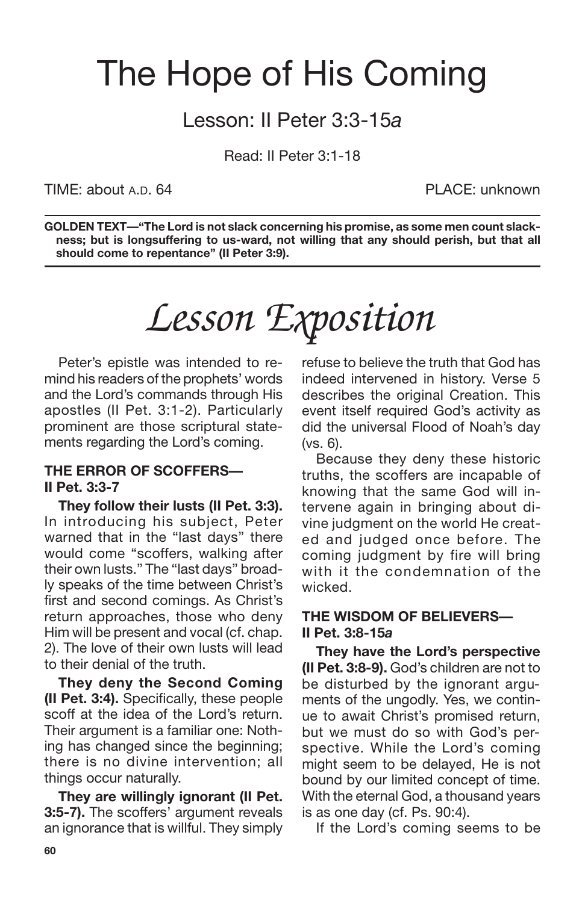## The Hope of His Coming

## Lesson: II Peter 3:3-15*a*

Read: II Peter 3:1-18

TIME: about A.D. 64 PLACE: unknown

**GOLDEN TEXT—"The Lord is not slack concerning his promise, as some men count slackness; but is longsuffering to us-ward, not willing that any should perish, but that all should come to repentance" (II Peter 3:9).**

# *Lesson Exposition*

Peter's epistle was intended to remind his readers of the prophets' words and the Lord's commands through His apostles (II Pet. 3:1-2). Particularly prominent are those scriptural statements regarding the Lord's coming.

### **THE ERROR OF SCOFFERS— II Pet. 3:3-7**

**They follow their lusts (II Pet. 3:3).** In introducing his subject, Peter warned that in the "last days" there would come "scoffers, walking after their own lusts." The "last days" broadly speaks of the time between Christ's first and second comings. As Christ's return approaches, those who deny Him will be present and vocal (cf. chap. 2). The love of their own lusts will lead to their denial of the truth.

**They deny the Second Coming (II Pet. 3:4).** Specifically, these people scoff at the idea of the Lord's return. Their argument is a familiar one: Nothing has changed since the beginning; there is no divine intervention; all things occur naturally.

**They are willingly ignorant (II Pet. 3:5-7).** The scoffers' argument reveals an ignorance that is willful. They simply refuse to believe the truth that God has indeed intervened in history. Verse 5 describes the original Creation. This event itself required God's activity as did the universal Flood of Noah's day (vs. 6).

Because they deny these historic truths, the scoffers are incapable of knowing that the same God will intervene again in bringing about divine judgment on the world He created and judged once before. The coming judgment by fire will bring with it the condemnation of the wicked.

### **THE WISDOM OF BELIEVERS— II Pet. 3:8-15***a*

**They have the Lord's perspective (II Pet. 3:8-9).** God's children are not to be disturbed by the ignorant arguments of the ungodly. Yes, we continue to await Christ's promised return, but we must do so with God's perspective. While the Lord's coming might seem to be delayed, He is not bound by our limited concept of time. With the eternal God, a thousand years is as one day (cf. Ps. 90:4).

If the Lord's coming seems to be